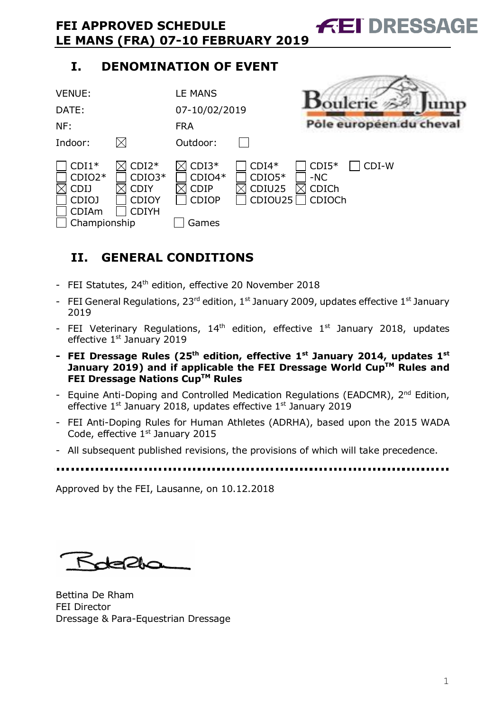# **I. DENOMINATION OF EVENT**

| <b>VENUE:</b><br>DATE:<br>NF:                                                                                | $\boxtimes$                                                        | <b>LE MANS</b><br>07-10/02/2019<br><b>FRA</b>                           |                                          | Pôle européen du cheval                               |
|--------------------------------------------------------------------------------------------------------------|--------------------------------------------------------------------|-------------------------------------------------------------------------|------------------------------------------|-------------------------------------------------------|
| Indoor:<br>$CDI1*$<br>$CDIO2*$<br>$\boxtimes$<br><b>CDIJ</b><br><b>CDIOJ</b><br><b>CDIAm</b><br>Championship | $CDI2*$<br>$CDIO3*$<br><b>CDIY</b><br><b>CDIOY</b><br><b>CDIYH</b> | Outdoor:<br>$CDI3*$<br>$CDIO4*$<br><b>CDIP</b><br><b>CDIOP</b><br>Games | $CDI4*$<br>$CDIO5*$<br>CDIU25<br>CDIOU25 | $CDI5*$<br>$CDI-W$<br>$-NC$<br><b>CDICh</b><br>CDIOCh |

**FEI DRESSAGE** 

and the contract of the con-

# **II. GENERAL CONDITIONS**

- FEI Statutes, 24<sup>th</sup> edition, effective 20 November 2018
- FEI General Regulations,  $23^{rd}$  edition,  $1^{st}$  January 2009, updates effective  $1^{st}$  January 2019
- FEI Veterinary Regulations,  $14<sup>th</sup>$  edition, effective  $1<sup>st</sup>$  January 2018, updates effective 1st January 2019
- **- FEI Dressage Rules (25th edition, effective 1st January 2014, updates 1st January** 2019) and if applicable the FEI Dressage World Cup™ Rules and **FEI Dressage Nations CupTM Rules**
- Equine Anti-Doping and Controlled Medication Regulations (EADCMR), 2<sup>nd</sup> Edition, effective 1<sup>st</sup> January 2018, updates effective 1<sup>st</sup> January 2019
- FEI Anti-Doping Rules for Human Athletes (ADRHA), based upon the 2015 WADA Code, effective 1<sup>st</sup> January 2015
- All subsequent published revisions, the provisions of which will take precedence.
- 

Approved by the FEI, Lausanne, on 10.12.2018

Rotepha

Bettina De Rham FEI Director Dressage & Para-Equestrian Dressage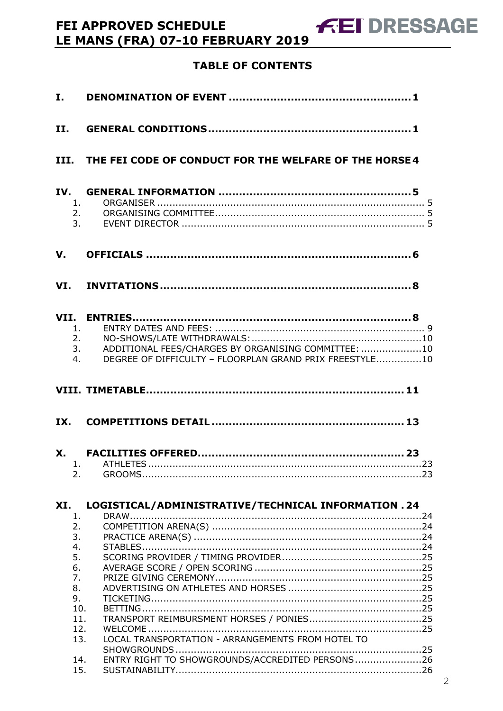| II.                                                                             |                                                                                                                            |
|---------------------------------------------------------------------------------|----------------------------------------------------------------------------------------------------------------------------|
|                                                                                 | III. THE FEI CODE OF CONDUCT FOR THE WELFARE OF THE HORSE 4                                                                |
| 1.<br>2.<br>3.                                                                  |                                                                                                                            |
| V.                                                                              |                                                                                                                            |
|                                                                                 |                                                                                                                            |
| 1 <sub>1</sub><br>4.                                                            | 2.<br>ADDITIONAL FEES/CHARGES BY ORGANISING COMMITTEE: 10<br>3.<br>DEGREE OF DIFFICULTY - FLOORPLAN GRAND PRIX FREESTYLE10 |
|                                                                                 |                                                                                                                            |
|                                                                                 |                                                                                                                            |
|                                                                                 |                                                                                                                            |
| 2.                                                                              |                                                                                                                            |
| XI.<br>1.                                                                       | LOGISTICAL/ADMINISTRATIVE/TECHNICAL INFORMATION . 24                                                                       |
| 2.<br>3.<br>4.<br>5.<br>6.<br>7.<br>8.<br>9.<br>10.<br>11.<br>12.<br>13.<br>14. | LOCAL TRANSPORTATION - ARRANGEMENTS FROM HOTEL TO<br>ENTRY RIGHT TO SHOWGROUNDS/ACCREDITED PERSONS26                       |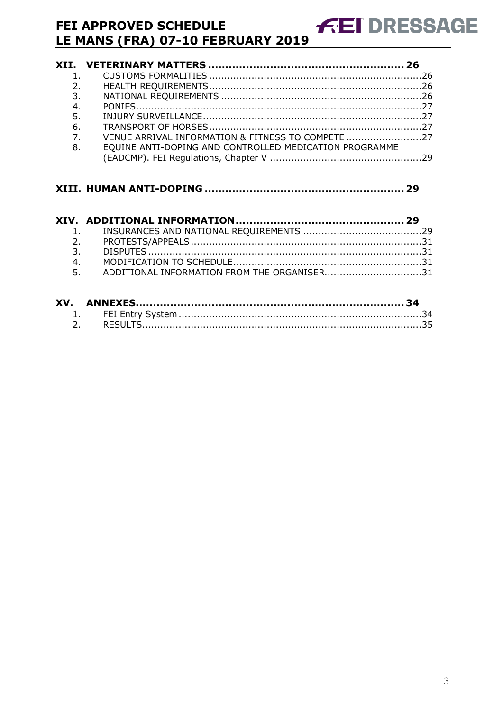| 2.             |                                                        |  |
|----------------|--------------------------------------------------------|--|
| 3.             |                                                        |  |
| 4.             |                                                        |  |
| 5.             |                                                        |  |
| 6.             |                                                        |  |
| 7 <sub>1</sub> | VENUE ARRIVAL INFORMATION & FITNESS TO COMPETE 27      |  |
| 8.             | EQUINE ANTI-DOPING AND CONTROLLED MEDICATION PROGRAMME |  |
|                |                                                        |  |

**FEI DRESSAGE** 

| 4. |                                                |  |
|----|------------------------------------------------|--|
|    | 5. ADDITIONAL INFORMATION FROM THE ORGANISER31 |  |
|    |                                                |  |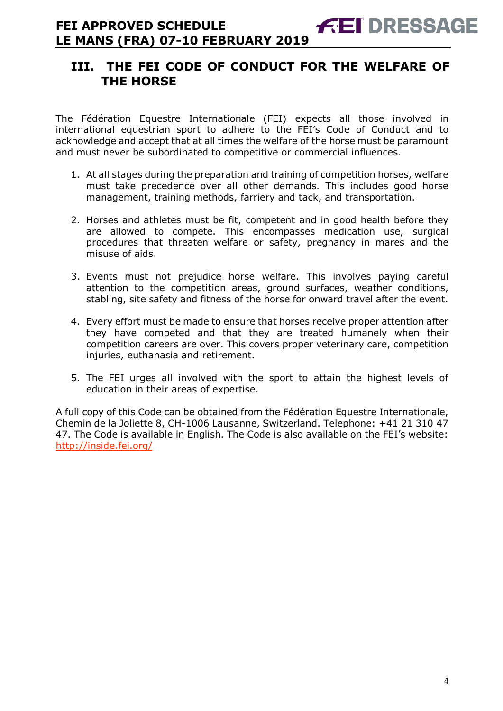# **III. THE FEI CODE OF CONDUCT FOR THE WELFARE OF THE HORSE**

The Fédération Equestre Internationale (FEI) expects all those involved in international equestrian sport to adhere to the FEI's Code of Conduct and to acknowledge and accept that at all times the welfare of the horse must be paramount and must never be subordinated to competitive or commercial influences.

- 1. At all stages during the preparation and training of competition horses, welfare must take precedence over all other demands. This includes good horse management, training methods, farriery and tack, and transportation.
- 2. Horses and athletes must be fit, competent and in good health before they are allowed to compete. This encompasses medication use, surgical procedures that threaten welfare or safety, pregnancy in mares and the misuse of aids.
- 3. Events must not prejudice horse welfare. This involves paying careful attention to the competition areas, ground surfaces, weather conditions, stabling, site safety and fitness of the horse for onward travel after the event.
- 4. Every effort must be made to ensure that horses receive proper attention after they have competed and that they are treated humanely when their competition careers are over. This covers proper veterinary care, competition injuries, euthanasia and retirement.
- 5. The FEI urges all involved with the sport to attain the highest levels of education in their areas of expertise.

A full copy of this Code can be obtained from the Fédération Equestre Internationale, Chemin de la Joliette 8, CH-1006 Lausanne, Switzerland. Telephone: +41 21 310 47 47. The Code is available in English. The Code is also available on the FEI's website: http://inside.fei.org/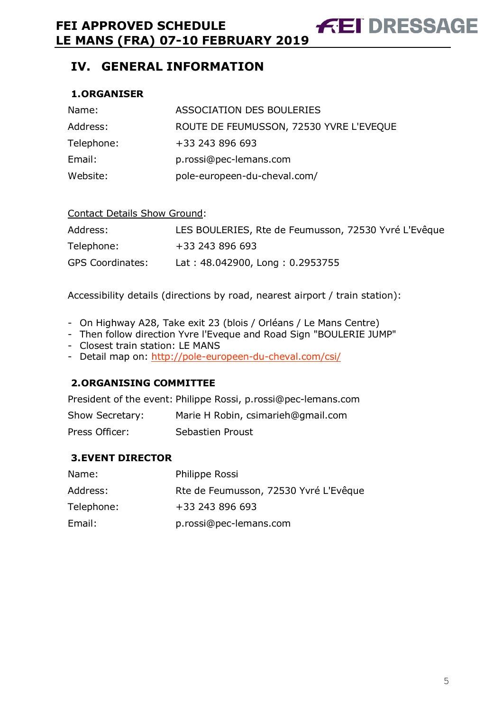# **IV. GENERAL INFORMATION**

## **1.ORGANISER**

| Name:      | ASSOCIATION DES BOULERIES               |
|------------|-----------------------------------------|
| Address:   | ROUTE DE FEUMUSSON, 72530 YVRE L'EVEQUE |
| Telephone: | +33 243 896 693                         |
| Email:     | p.rossi@pec-lemans.com                  |
| Website:   | pole-europeen-du-cheval.com/            |

#### Contact Details Show Ground:

| Address:                | LES BOULERIES, Rte de Feumusson, 72530 Yvré L'Evêque |
|-------------------------|------------------------------------------------------|
| Telephone:              | +33 243 896 693                                      |
| <b>GPS Coordinates:</b> | Lat: 48.042900, Long: 0.2953755                      |

Accessibility details (directions by road, nearest airport / train station):

- On Highway A28, Take exit 23 (blois / Orléans / Le Mans Centre)
- Then follow direction Yvre l'Eveque and Road Sign "BOULERIE JUMP"
- Closest train station: LE MANS
- Detail map on: http://pole-europeen-du-cheval.com/csi/

## **2.ORGANISING COMMITTEE**

President of the event: Philippe Rossi, p.rossi@pec-lemans.com

| Show Secretary: | Marie H Robin, csimarieh@gmail.com |
|-----------------|------------------------------------|
| Press Officer:  | Sebastien Proust                   |

## **3.EVENT DIRECTOR**

| Name:      | Philippe Rossi                        |
|------------|---------------------------------------|
| Address:   | Rte de Feumusson, 72530 Yvré L'Evêque |
| Telephone: | +33 243 896 693                       |
| Email:     | p.rossi@pec-lemans.com                |

**AET DRESSAGE**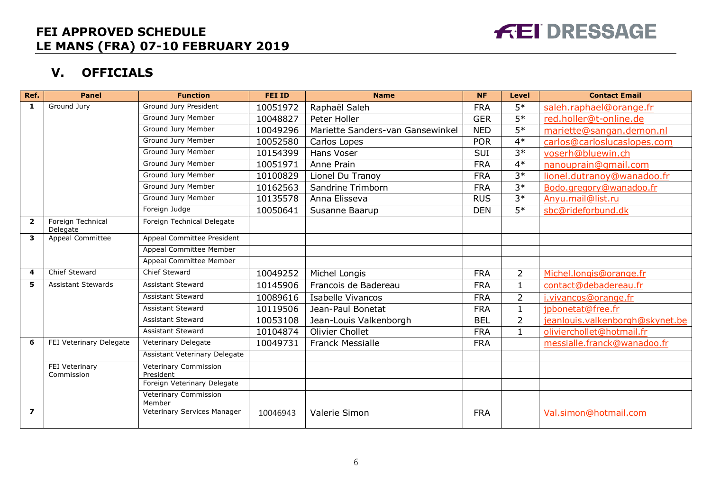# **FEI DRESSAGE**

# **V. OFFICIALS**

| Ref.           | <b>Panel</b>                  | <b>Function</b>                    | <b>FEI ID</b> | <b>Name</b>                      | <b>NF</b>  | Level           | <b>Contact Email</b>            |
|----------------|-------------------------------|------------------------------------|---------------|----------------------------------|------------|-----------------|---------------------------------|
| 1              | Ground Jury                   | Ground Jury President              | 10051972      | Raphaël Saleh                    | <b>FRA</b> | $5*$            | saleh.raphael@orange.fr         |
|                |                               | Ground Jury Member                 | 10048827      | Peter Holler                     | <b>GER</b> | $5*$            | red.holler@t-online.de          |
|                |                               | Ground Jury Member                 | 10049296      | Mariette Sanders-van Gansewinkel | <b>NED</b> | $5*$            | mariette@sangan.demon.nl        |
|                |                               | Ground Jury Member                 | 10052580      | Carlos Lopes                     | <b>POR</b> | $4*$            | carlos@carloslucaslopes.com     |
|                |                               | Ground Jury Member                 | 10154399      | Hans Voser                       | <b>SUI</b> | $3*$            | voserh@bluewin.ch               |
|                |                               | Ground Jury Member                 | 10051971      | Anne Prain                       | <b>FRA</b> | $4*$            | nanouprain@gmail.com            |
|                |                               | Ground Jury Member                 | 10100829      | Lionel Du Tranoy                 | <b>FRA</b> | $3*$            | lionel.dutranoy@wanadoo.fr      |
|                |                               | Ground Jury Member                 | 10162563      | Sandrine Trimborn                | <b>FRA</b> | $3*$            | Bodo.gregory@wanadoo.fr         |
|                |                               | Ground Jury Member                 | 10135578      | Anna Elisseva                    | <b>RUS</b> | $3*$            | Anyu.mail@list.ru               |
|                |                               | Foreign Judge                      | 10050641      | Susanne Baarup                   | <b>DEN</b> | $\overline{5*}$ | sbc@rideforbund.dk              |
| $\overline{2}$ | Foreign Technical<br>Delegate | Foreign Technical Delegate         |               |                                  |            |                 |                                 |
| 3              | Appeal Committee              | Appeal Committee President         |               |                                  |            |                 |                                 |
|                |                               | Appeal Committee Member            |               |                                  |            |                 |                                 |
|                |                               | Appeal Committee Member            |               |                                  |            |                 |                                 |
| 4              | Chief Steward                 | Chief Steward                      | 10049252      | Michel Longis                    | <b>FRA</b> | $\overline{2}$  | Michel.longis@orange.fr         |
| 5              | <b>Assistant Stewards</b>     | <b>Assistant Steward</b>           | 10145906      | Francois de Badereau             | <b>FRA</b> | $\mathbf{1}$    | contact@debadereau.fr           |
|                |                               | <b>Assistant Steward</b>           | 10089616      | <b>Isabelle Vivancos</b>         | <b>FRA</b> | $\overline{2}$  | i.vivancos@orange.fr            |
|                |                               | <b>Assistant Steward</b>           | 10119506      | Jean-Paul Bonetat                | <b>FRA</b> | $\mathbf{1}$    | jpbonetat@free.fr               |
|                |                               | <b>Assistant Steward</b>           | 10053108      | Jean-Louis Valkenborgh           | <b>BEL</b> | $\overline{2}$  | jeanlouis.valkenborgh@skynet.be |
|                |                               | <b>Assistant Steward</b>           | 10104874      | Olivier Chollet                  | <b>FRA</b> | $\mathbf{1}$    | olivierchollet@hotmail.fr       |
| 6              | FEI Veterinary Delegate       | Veterinary Delegate                | 10049731      | <b>Franck Messialle</b>          | <b>FRA</b> |                 | messialle.franck@wanadoo.fr     |
|                |                               | Assistant Veterinary Delegate      |               |                                  |            |                 |                                 |
|                | FEI Veterinary<br>Commission  | Veterinary Commission<br>President |               |                                  |            |                 |                                 |
|                |                               | Foreign Veterinary Delegate        |               |                                  |            |                 |                                 |
|                |                               | Veterinary Commission<br>Member    |               |                                  |            |                 |                                 |
| $\overline{z}$ |                               | Veterinary Services Manager        | 10046943      | Valerie Simon                    | <b>FRA</b> |                 | Val.simon@hotmail.com           |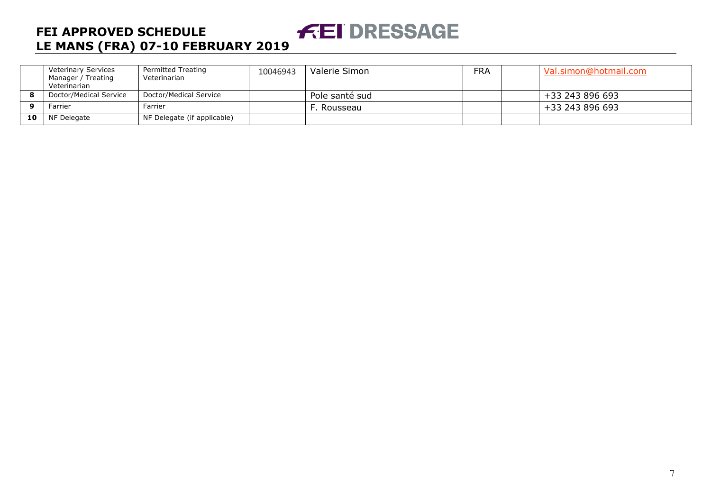#### **FEI DRESSAGE FEI APPROVED SCHEDULE LE MANS (FRA) 07-10 FEBRUARY 2019**

|          | <b>Veterinary Services</b><br>Manager / Treating<br>Veterinarian | Permitted Treating<br>Veterinarian | 10046943 | Valerie Simon  | <b>FRA</b> | Val.simon@hotmail.com |
|----------|------------------------------------------------------------------|------------------------------------|----------|----------------|------------|-----------------------|
|          | Doctor/Medical Service                                           | Doctor/Medical Service             |          | Pole santé sud |            | +33 243 896 693       |
| <u>n</u> | Farrier                                                          | Farrier                            |          | . Rousseau     |            | +33 243 896 693       |
| 10       | NF Delegate                                                      | NF Delegate (if applicable)        |          |                |            |                       |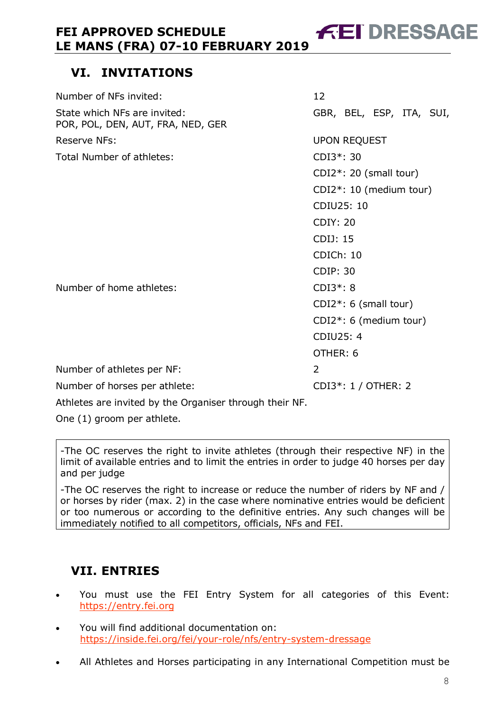# **VI. INVITATIONS**

| Number of NFs invited:                                            | 12                      |                          |  |  |  |
|-------------------------------------------------------------------|-------------------------|--------------------------|--|--|--|
| State which NFs are invited:<br>POR, POL, DEN, AUT, FRA, NED, GER |                         | GBR, BEL, ESP, ITA, SUI, |  |  |  |
| <b>Reserve NFs:</b>                                               |                         | <b>UPON REQUEST</b>      |  |  |  |
| Total Number of athletes:                                         | CDI3*: 30               |                          |  |  |  |
|                                                                   |                         | CDI2*: 20 (small tour)   |  |  |  |
|                                                                   | CDI2*: 10 (medium tour) |                          |  |  |  |
|                                                                   |                         | CDIU25: 10               |  |  |  |
|                                                                   | <b>CDIY: 20</b>         |                          |  |  |  |
|                                                                   | CDIJ: 15                |                          |  |  |  |
|                                                                   | CDICh: 10               |                          |  |  |  |
|                                                                   | <b>CDIP: 30</b>         |                          |  |  |  |
| Number of home athletes:                                          | $CDI3*:8$               |                          |  |  |  |
|                                                                   |                         | $CDI2^*: 6$ (small tour) |  |  |  |
|                                                                   | CDI2*: 6 (medium tour)  |                          |  |  |  |
|                                                                   | <b>CDIU25: 4</b>        |                          |  |  |  |
|                                                                   | OTHER: 6                |                          |  |  |  |
| Number of athletes per NF:                                        | 2                       |                          |  |  |  |
| Number of horses per athlete:                                     |                         | CDI3*: 1 / OTHER: 2      |  |  |  |
| Attalatas sus fundical localise Organizaci through the dulli NF   |                         |                          |  |  |  |

Athletes are invited by the Organiser through their NF.

One (1) groom per athlete.

-The OC reserves the right to invite athletes (through their respective NF) in the limit of available entries and to limit the entries in order to judge 40 horses per day and per judge

-The OC reserves the right to increase or reduce the number of riders by NF and / or horses by rider (max. 2) in the case where nominative entries would be deficient or too numerous or according to the definitive entries. Any such changes will be immediately notified to all competitors, officials, NFs and FEI.

# **VII. ENTRIES**

- You must use the FEI Entry System for all categories of this Event: https://entry.fei.org
- You will find additional documentation on: https://inside.fei.org/fei/your-role/nfs/entry-system-dressage
- All Athletes and Horses participating in any International Competition must be

**FEI DRESSAGE**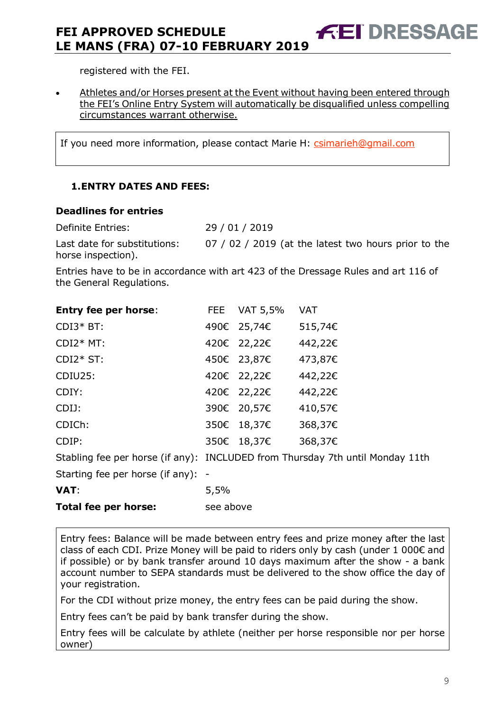registered with the FEI.

• Athletes and/or Horses present at the Event without having been entered through the FEI's Online Entry System will automatically be disqualified unless compelling circumstances warrant otherwise.

**FEI DRESSAGE** 

If you need more information, please contact Marie H: csimarieh@gmail.com

## **1.ENTRY DATES AND FEES:**

#### **Deadlines for entries**

Definite Entries: 29 / 01 / 2019 Last date for substitutions: 07 / 02 / 2019 (at the latest two hours prior to the horse inspection).

Entries have to be in accordance with art 423 of the Dressage Rules and art 116 of the General Regulations.

| <b>Entry fee per horse:</b>                                                   |      | FEE VAT 5,5% | <b>VAT</b> |
|-------------------------------------------------------------------------------|------|--------------|------------|
| $CDI3*BT:$                                                                    |      | 490€ 25,74€  | 515,74€    |
| $CDI2*MT$ :                                                                   |      | 420€ 22,22€  | 442,22€    |
| $CDI2*ST:$                                                                    |      | 450€ 23,87€  | 473,87€    |
| CDIU25:                                                                       |      | 420€ 22,22€  | 442,22€    |
| CDIY:                                                                         |      | 420€ 22,22€  | 442,22€    |
| CDIJ:                                                                         |      | 390€ 20,57€  | 410,57€    |
| CDICh:                                                                        |      | 350€ 18,37€  | 368,37€    |
| CDIP:                                                                         |      | 350€ 18,37€  | 368,37€    |
| Stabling fee per horse (if any): INCLUDED from Thursday 7th until Monday 11th |      |              |            |
| Starting fee per horse (if any): -                                            |      |              |            |
| VAT:                                                                          | 5,5% |              |            |

| Total fee per horse: | see above |
|----------------------|-----------|
|                      |           |

Entry fees: Balance will be made between entry fees and prize money after the last class of each CDI. Prize Money will be paid to riders only by cash (under 1 000€ and if possible) or by bank transfer around 10 days maximum after the show - a bank account number to SEPA standards must be delivered to the show office the day of your registration.

For the CDI without prize money, the entry fees can be paid during the show.

Entry fees can't be paid by bank transfer during the show.

Entry fees will be calculate by athlete (neither per horse responsible nor per horse owner)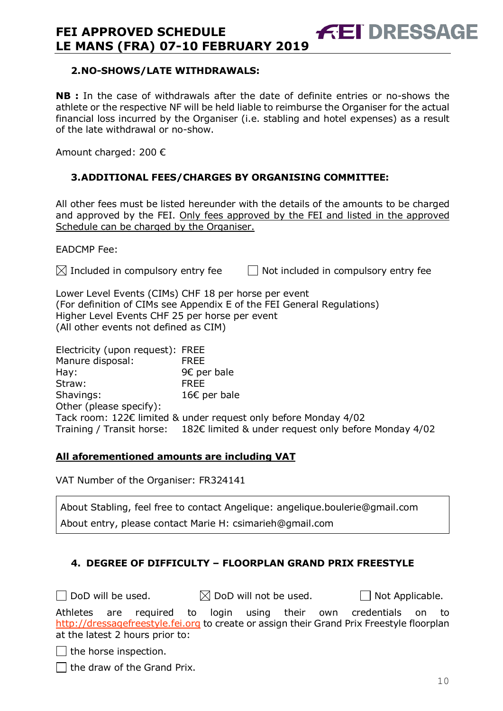#### **2.NO-SHOWS/LATE WITHDRAWALS:**

**NB :** In the case of withdrawals after the date of definite entries or no-shows the athlete or the respective NF will be held liable to reimburse the Organiser for the actual financial loss incurred by the Organiser (i.e. stabling and hotel expenses) as a result of the late withdrawal or no-show.

Amount charged: 200 €

#### **3.ADDITIONAL FEES/CHARGES BY ORGANISING COMMITTEE:**

All other fees must be listed hereunder with the details of the amounts to be charged and approved by the FEI. Only fees approved by the FEI and listed in the approved Schedule can be charged by the Organiser.

EADCMP Fee:

 $\boxtimes$  Included in compulsory entry fee  $\Box$  Not included in compulsory entry fee

Lower Level Events (CIMs) CHF 18 per horse per event (For definition of CIMs see Appendix E of the FEI General Regulations) Higher Level Events CHF 25 per horse per event (All other events not defined as CIM)

Electricity (upon request): FREE Manure disposal: FREE Hay: 9€ per bale Straw: FREE Shavings: 16€ per bale Other (please specify): Tack room: 122€ limited & under request only before Monday 4/02 Training / Transit horse: 182€ limited & under request only before Monday 4/02

#### **All aforementioned amounts are including VAT**

VAT Number of the Organiser: FR324141

About Stabling, feel free to contact Angelique: angelique.boulerie@gmail.com About entry, please contact Marie H: csimarieh@gmail.com

## **4. DEGREE OF DIFFICULTY – FLOORPLAN GRAND PRIX FREESTYLE**

 $\Box$  DoD will be used.  $\boxtimes$  DoD will not be used.  $\Box$  Not Applicable.

**FEI DRESSAGE** 

Athletes are required to login using their own credentials on to http://dressagefreestyle.fei.org to create or assign their Grand Prix Freestyle floorplan at the latest 2 hours prior to:

 $\Box$  the horse inspection.

 $\Box$  the draw of the Grand Prix.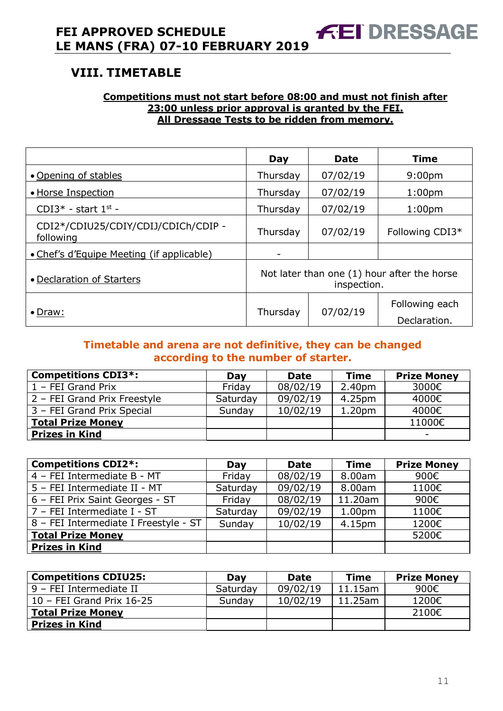# **VIII. TIMETABLE**

#### **Competitions must not start before 08:00 and must not finish after 23:00 unless prior approval is granted by the FEI. All Dressage Tests to be ridden from memory.**

|                                                  | Day                      | <b>Date</b>                                                | <b>Time</b>                    |
|--------------------------------------------------|--------------------------|------------------------------------------------------------|--------------------------------|
| • Opening of stables                             | Thursday                 | 07/02/19                                                   | 9:00 <sub>pm</sub>             |
| • Horse Inspection                               | Thursday                 | 07/02/19                                                   | 1:00 <sub>pm</sub>             |
| CDI3 $*$ - start 1st -                           | Thursday                 | 07/02/19                                                   | 1:00 <sub>pm</sub>             |
| CDI2*/CDIU25/CDIY/CDIJ/CDICh/CDIP -<br>following | Thursday                 | 07/02/19                                                   | Following CDI3*                |
| • Chef's d'Equipe Meeting (if applicable)        | $\overline{\phantom{0}}$ |                                                            |                                |
| • Declaration of Starters                        |                          | Not later than one (1) hour after the horse<br>inspection. |                                |
| $\bullet$ Draw:                                  | Thursday                 | 07/02/19                                                   | Following each<br>Declaration. |

## **Timetable and arena are not definitive, they can be changed according to the number of starter.**

| <b>Competitions CDI3*:</b>   | Day      | <b>Date</b> | Time               | <b>Prize Money</b> |
|------------------------------|----------|-------------|--------------------|--------------------|
| 1 - FEI Grand Prix           | Friday   | 08/02/19    | 2.40pm             | 3000€              |
| 2 - FEI Grand Prix Freestyle | Saturday | 09/02/19    | 4.25pm             | 4000€              |
| 3 - FEI Grand Prix Special   | Sunday   | 10/02/19    | 1.20 <sub>pm</sub> | 4000€              |
| <b>Total Prize Money</b>     |          |             |                    | 11000€             |
| <b>Prizes in Kind</b>        |          |             |                    | -                  |

| <b>Competitions CDI2*:</b>            | Day      | <b>Date</b> | <b>Time</b>        | <b>Prize Money</b> |
|---------------------------------------|----------|-------------|--------------------|--------------------|
| 4 - FEI Intermediate B - MT           | Friday   | 08/02/19    | 8.00am             | 900€               |
| 5 - FEI Intermediate II - MT          | Saturday | 09/02/19    | 8.00am             | 1100€              |
| 6 - FEI Prix Saint Georges - ST       | Friday   | 08/02/19    | 11.20am            | 900€               |
| 7 - FEI Intermediate I - ST           | Saturday | 09/02/19    | 1.00 <sub>pm</sub> | 1100€              |
| 8 - FEI Intermediate I Freestyle - ST | Sunday   | 10/02/19    | 4.15pm             | 1200€              |
| <b>Total Prize Money</b>              |          |             |                    | 5200€              |
| <b>Prizes in Kind</b>                 |          |             |                    |                    |

| <b>Competitions CDIU25:</b> | Day      | <b>Date</b> | <b>Time</b> | <b>Prize Money</b> |
|-----------------------------|----------|-------------|-------------|--------------------|
| l 9 – FEI Intermediate II   | Saturday | 09/02/19    | $11.15$ am  | 900€               |
| $10$ – FEI Grand Prix 16-25 | Sunday   | 10/02/19    | $11.25$ am  | 1200€              |
| <b>Total Prize Money</b>    |          |             |             | 2100€              |
| <b>Prizes in Kind</b>       |          |             |             |                    |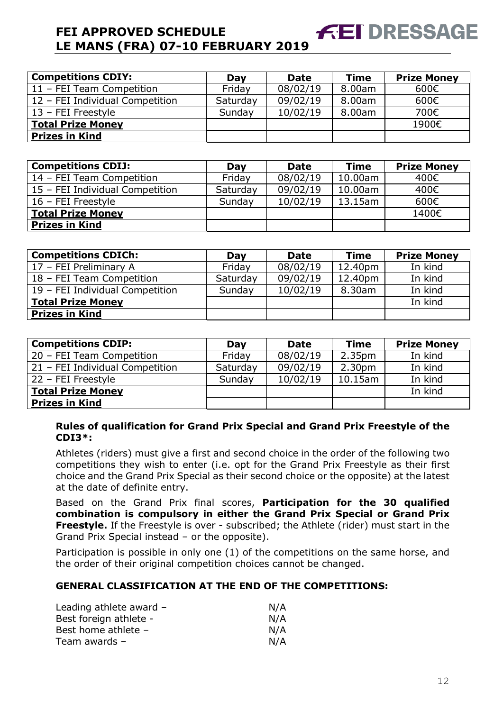| <b>Competitions CDIY:</b>       | Day      | <b>Date</b> | <b>Time</b> | <b>Prize Money</b> |
|---------------------------------|----------|-------------|-------------|--------------------|
| 11 - FEI Team Competition       | Friday   | 08/02/19    | 8.00am      | 600€               |
| 12 - FEI Individual Competition | Saturday | 09/02/19    | 8.00am      | 600€               |
| 13 - FEI Freestyle              | Sunday   | 10/02/19    | 8.00am      | 700€               |
| <b>Total Prize Money</b>        |          |             |             | 1900€              |
| <b>Prizes in Kind</b>           |          |             |             |                    |

**EET DRESSAGE** 

| <b>Competitions CDIJ:</b>       | Day      | <b>Date</b> | <b>Time</b> | <b>Prize Money</b> |
|---------------------------------|----------|-------------|-------------|--------------------|
| 14 - FEI Team Competition       | Friday   | 08/02/19    | 10.00am     | 400€               |
| 15 - FEI Individual Competition | Saturday | 09/02/19    | 10.00am     | 400€               |
| 16 - FEI Freestyle              | Sunday   | 10/02/19    | 13.15am     | 600€               |
| <b>Total Prize Money</b>        |          |             |             | 1400€              |
| <b>Prizes in Kind</b>           |          |             |             |                    |

| <b>Competitions CDICh:</b>      | Day      | <b>Date</b> | <b>Time</b> | <b>Prize Money</b> |
|---------------------------------|----------|-------------|-------------|--------------------|
| 17 - FEI Preliminary A          | Friday   | 08/02/19    | 12.40pm     | In kind            |
| 18 - FEI Team Competition       | Saturday | 09/02/19    | 12.40pm     | In kind            |
| 19 - FEI Individual Competition | Sunday   | 10/02/19    | 8.30am      | In kind            |
| <b>Total Prize Money</b>        |          |             |             | In kind            |
| <b>Prizes in Kind</b>           |          |             |             |                    |

| <b>Competitions CDIP:</b>       | Day      | <b>Date</b> | <b>Time</b>        | <b>Prize Money</b> |
|---------------------------------|----------|-------------|--------------------|--------------------|
| 20 - FEI Team Competition       | Friday   | 08/02/19    | 2.35 <sub>pm</sub> | In kind            |
| 21 - FEI Individual Competition | Saturday | 09/02/19    | 2.30 <sub>pm</sub> | In kind            |
| 22 - FEI Freestyle              | Sunday   | 10/02/19    | $10.15$ am         | In kind            |
| <b>Total Prize Money</b>        |          |             |                    | In kind            |
| <b>Prizes in Kind</b>           |          |             |                    |                    |

**Rules of qualification for Grand Prix Special and Grand Prix Freestyle of the CDI3\*:** 

Athletes (riders) must give a first and second choice in the order of the following two competitions they wish to enter (i.e. opt for the Grand Prix Freestyle as their first choice and the Grand Prix Special as their second choice or the opposite) at the latest at the date of definite entry.

Based on the Grand Prix final scores, **Participation for the 30 qualified combination is compulsory in either the Grand Prix Special or Grand Prix Freestyle.** If the Freestyle is over - subscribed; the Athlete (rider) must start in the Grand Prix Special instead – or the opposite).

Participation is possible in only one (1) of the competitions on the same horse, and the order of their original competition choices cannot be changed.

#### **GENERAL CLASSIFICATION AT THE END OF THE COMPETITIONS:**

| Leading athlete award - | N/A |
|-------------------------|-----|
| Best foreign athlete -  | N/A |
| Best home athlete -     | N/A |
| Team awards $-$         | N/A |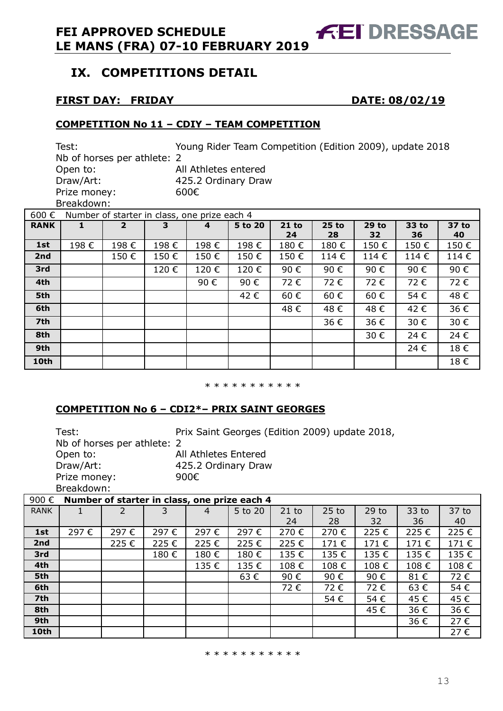# **IX. COMPETITIONS DETAIL**

## **FIRST DAY: FRIDAY DATE: 08/02/19**

**FEI DRESSAGE** 

#### **COMPETITION No 11 – CDIY – TEAM COMPETITION**

Test: Young Rider Team Competition (Edition 2009), update 2018 Nb of horses per athlete: 2 Open to: All Athletes entered Draw/Art: 425.2 Ordinary Draw Prize money: 600€ Breakdown: 600 € Number of starter in class, one prize each 4

| ouu €       |      | Number of starter in class, one prize each 4 |      |      |         |               |               |               |              |             |
|-------------|------|----------------------------------------------|------|------|---------|---------------|---------------|---------------|--------------|-------------|
| <b>RANK</b> |      | $\overline{2}$                               | 3    | 4    | 5 to 20 | $21$ to<br>24 | $25$ to<br>28 | $29$ to<br>32 | 33 to<br>36. | 37 to<br>40 |
| 1st         | 198€ | 198€                                         | 198€ | 198€ | 198€    | 180€          | 180€          | 150€          | 150€         | 150€        |
| 2nd         |      | 150€                                         | 150€ | 150€ | 150€    | 150€          | 114€          | 114€          | 114€         | 114€        |
| 3rd         |      |                                              | 120€ | 120€ | 120€    | 90€           | 90€           | 90€           | 90€          | 90€         |
| 4th         |      |                                              |      | 90€  | 90€     | 72€           | 72€           | 72€           | 72€          | 72€         |
| 5th         |      |                                              |      |      | 42€     | 60€           | 60€           | 60€           | 54€          | 48€         |
| 6th         |      |                                              |      |      |         | 48€           | 48€           | 48€           | 42€          | 36€         |
| 7th         |      |                                              |      |      |         |               | 36€           | 36€           | 30€          | 30€         |
| 8th         |      |                                              |      |      |         |               |               | 30€           | 24€          | 24€         |
| 9th         |      |                                              |      |      |         |               |               |               | 24€          | 18€         |
| 10th        |      |                                              |      |      |         |               |               |               |              | 18€         |

\* \* \* \* \* \* \* \* \* \*

## **COMPETITION No 6 – CDI2\*– PRIX SAINT GEORGES**

Test: Prix Saint Georges (Edition 2009) update 2018, Nb of horses per athlete: 2 Open to: All Athletes Entered Draw/Art: 425.2 Ordinary Draw Prize money: 900€

Breakdown:

| 900€        | Number of starter in class, one prize each 4 |      |      |      |         |         |         |         |       |       |  |  |
|-------------|----------------------------------------------|------|------|------|---------|---------|---------|---------|-------|-------|--|--|
| <b>RANK</b> | J.                                           | 2    |      | 4    | 5 to 20 | $21$ to | $25$ to | $29$ to | 33 to | 37 to |  |  |
|             |                                              |      |      |      |         | 24      | 28      | 32      | 36    | 40    |  |  |
| 1st         | 297€                                         | 297€ | 297€ | 297€ | 297€    | 270€    | 270€    | 225€    | 225€  | 225€  |  |  |
| 2nd         |                                              | 225€ | 225€ | 225€ | 225€    | 225€    | 171€    | 171€    | 171€  | 171€  |  |  |
| 3rd         |                                              |      | 180€ | 180€ | 180€    | 135€    | 135€    | 135€    | 135€  | 135€  |  |  |
| 4th         |                                              |      |      | 135€ | 135€    | 108€    | 108€    | 108€    | 108€  | 108€  |  |  |
| 5th         |                                              |      |      |      | 63€     | 90€     | 90€     | 90€     | 81€   | 72€   |  |  |
| 6th         |                                              |      |      |      |         | 72€     | 72€     | 72€     | 63€   | 54€   |  |  |
| 7th         |                                              |      |      |      |         |         | 54€     | 54€     | 45€   | 45€   |  |  |
| 8th         |                                              |      |      |      |         |         |         | 45€     | 36€   | 36€   |  |  |
| 9th         |                                              |      |      |      |         |         |         |         | 36€   | 27€   |  |  |
| 10th        |                                              |      |      |      |         |         |         |         |       | 27€   |  |  |

\* \* \* \* \* \* \* \* \* \*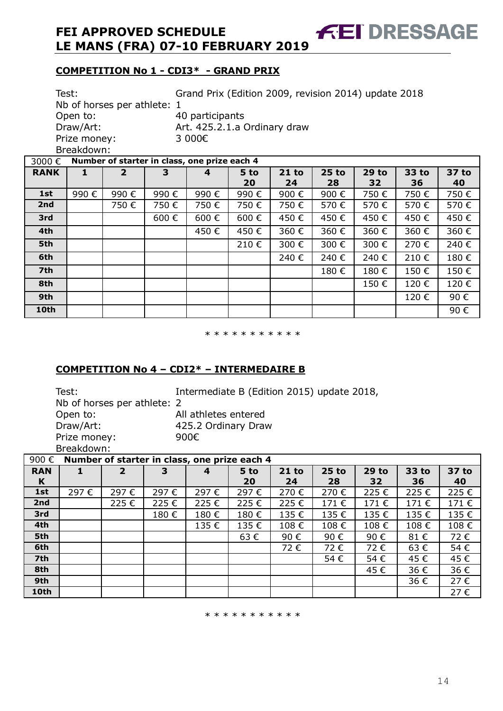# **COMPETITION No 1 - CDI3\* - GRAND PRIX**

Ξ

|             | Grand Prix (Edition 2009, revision 2014) update 2018<br>Test:<br>Nb of horses per athlete: 1<br>Open to:<br>40 participants<br>Draw/Art:<br>Art. 425.2.1.a Ordinary draw<br>3 000€<br>Prize money:<br>Breakdown: |                              |                                              |      |            |               |               |                    |             |             |
|-------------|------------------------------------------------------------------------------------------------------------------------------------------------------------------------------------------------------------------|------------------------------|----------------------------------------------|------|------------|---------------|---------------|--------------------|-------------|-------------|
| 3000€       |                                                                                                                                                                                                                  |                              | Number of starter in class, one prize each 4 |      |            |               |               |                    |             |             |
| <b>RANK</b> | 1                                                                                                                                                                                                                | $\overline{2}$               | 3                                            | 4    | 5 to<br>20 | $21$ to<br>24 | $25$ to<br>28 | <b>29 to</b><br>32 | 33 to<br>36 | 37 to<br>40 |
| 1st         | 990€                                                                                                                                                                                                             | 990€                         | 990€                                         | 990€ | 990€       | 900€          | 900€          | 750€               | 750€        | 750€        |
| 2nd         |                                                                                                                                                                                                                  | 750 €                        | 750€                                         | 750€ | 750€       | 750€          | 570€          | 570€               | 570€        | 570€        |
| 3rd         |                                                                                                                                                                                                                  |                              | 600€                                         | 600€ | 600€       | 450€          | 450€          | 450€               | 450€        | 450€        |
| 4th         |                                                                                                                                                                                                                  |                              |                                              | 450€ | 450€       | 360€          | 360€          | 360€               | 360€        | 360€        |
| 5th         |                                                                                                                                                                                                                  |                              |                                              |      | 210€       | 300€          | 300€          | 300€               | 270€        | 240€        |
| 6th         |                                                                                                                                                                                                                  |                              |                                              |      |            | 240€          | 240€          | 240€               | 210€        | 180€        |
| 7th         |                                                                                                                                                                                                                  | 180€<br>150€<br>150€<br>180€ |                                              |      |            |               |               |                    |             |             |
| 8th         | 120€<br>150€<br>120€                                                                                                                                                                                             |                              |                                              |      |            |               |               |                    |             |             |
| 9th         |                                                                                                                                                                                                                  |                              |                                              |      |            |               |               |                    | 120€        | 90€         |
| 10th        |                                                                                                                                                                                                                  |                              |                                              |      |            |               |               |                    |             | 90€         |

**AET DRESSAGE** 

\* \* \* \* \* \* \* \* \* \*

## **COMPETITION No 4 – CDI2\* – INTERMEDAIRE B**

| Test:                       | Intermediate B (Edition 2015) update 2018, |
|-----------------------------|--------------------------------------------|
| Nb of horses per athlete: 2 |                                            |
| Open to:                    | All athletes entered                       |
| Draw/Art:                   | 425.2 Ordinary Draw                        |
| Prize money:                | 900€                                       |
| Breakdown:                  |                                            |

| 900€            | Number of starter in class, one prize each 4 |                |      |      |            |               |               |               |             |             |  |  |
|-----------------|----------------------------------------------|----------------|------|------|------------|---------------|---------------|---------------|-------------|-------------|--|--|
| <b>RAN</b><br>K |                                              | $\overline{2}$ | 3    | 4    | 5 to<br>20 | $21$ to<br>24 | $25$ to<br>28 | $29$ to<br>32 | 33 to<br>36 | 37 to<br>40 |  |  |
| 1st             | 297€                                         | 297€           | 297€ | 297€ | 297€       | 270€          | 270€          | 225€          | 225€        | 225€        |  |  |
| 2nd             |                                              | 225€           | 225€ | 225€ | 225€       | 225€          | 171€          | 171€          | 171€        | 171€        |  |  |
| 3rd             |                                              |                | 180€ | 180€ | 180€       | 135€          | 135€          | 135€          | 135€        | 135€        |  |  |
| 4th             |                                              |                |      | 135€ | 135€       | 108€          | 108€          | 108€          | 108€        | 108€        |  |  |
| 5th             |                                              |                |      |      | 63€        | 90€           | 90€           | 90€           | 81€         | 72€         |  |  |
| 6th             |                                              |                |      |      |            | 72€           | 72€           | 72€           | 63€         | 54€         |  |  |
| 7th             |                                              |                |      |      |            |               | 54€           | 54€           | 45€         | 45€         |  |  |
| 8th             |                                              |                |      |      |            |               |               | 45€           | 36€         | 36€         |  |  |
| 9th             |                                              |                |      |      |            |               |               |               | 36€         | 27€         |  |  |
| 10th            |                                              |                |      |      |            |               |               |               |             | 27€         |  |  |

\* \* \* \* \* \* \* \* \* \*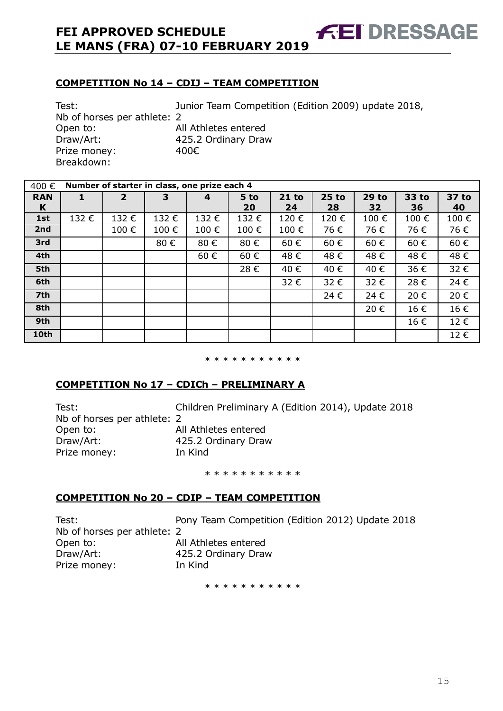#### **COMPETITION No 14 – CDIJ – TEAM COMPETITION**

Test: Junior Team Competition (Edition 2009) update 2018, Nb of horses per athlete: 2 Open to: All Athletes entered Draw/Art: 425.2 Ordinary Draw Prize money: 400€ Breakdown:

| 400€            |      | Number of starter in class, one prize each 4 |      |      |            |               |               |                    |             |             |  |  |  |
|-----------------|------|----------------------------------------------|------|------|------------|---------------|---------------|--------------------|-------------|-------------|--|--|--|
| <b>RAN</b><br>K |      | $\overline{2}$                               | 3    | 4    | 5 to<br>20 | $21$ to<br>24 | $25$ to<br>28 | <b>29 to</b><br>32 | 33 to<br>36 | 37 to<br>40 |  |  |  |
| 1st             | 132€ | 132€                                         | 132€ | 132€ | 132€       | 120€          | 120€          | 100€               | 100€        | 100€        |  |  |  |
| 2nd             |      | 100€                                         | 100€ | 100€ | 100€       | 100€          | 76€           | 76€                | 76€         | 76€         |  |  |  |
| 3rd             |      |                                              | 80€  | 80€  | 80€        | 60€           | 60€           | 60€                | 60€         | 60€         |  |  |  |
| 4th             |      |                                              |      | 60€  | 60€        | 48€           | 48€           | 48€                | 48€         | 48€         |  |  |  |
| 5th             |      |                                              |      |      | 28€        | 40€           | 40€           | 40€                | 36€         | 32€         |  |  |  |
| 6th             |      |                                              |      |      |            | 32€           | 32€           | 32€                | 28€         | 24€         |  |  |  |
| 7th             |      |                                              |      |      |            |               | 24 €          | 24€                | 20€         | 20€         |  |  |  |
| 8th             |      |                                              |      |      |            |               |               | 20€                | 16€         | 16€         |  |  |  |
| 9th             |      |                                              |      |      |            |               |               |                    | 16€         | 12€         |  |  |  |
| 10th            |      |                                              |      |      |            |               |               |                    |             | 12€         |  |  |  |

\* \* \* \* \* \* \* \* \* \* \*

#### **COMPETITION No 17 – CDICh – PRELIMINARY A**

Nb of horses per athlete: 2 Open to: All Athletes entered Draw/Art: 425.2 Ordinary Draw Prize money: In Kind

Test: Children Preliminary A (Edition 2014), Update 2018

\* \* \* \* \* \* \* \* \* \* \*

#### **COMPETITION No 20 – CDIP – TEAM COMPETITION**

| Test:                       | Pony Team Competition (Edition 2012) Update 2018 |
|-----------------------------|--------------------------------------------------|
| Nb of horses per athlete: 2 |                                                  |
| Open to:                    | All Athletes entered                             |
| Draw/Art:                   | 425.2 Ordinary Draw                              |
| Prize money:                | In Kind                                          |

\* \* \* \* \* \* \* \* \* \*

**FEI DRESSAGE**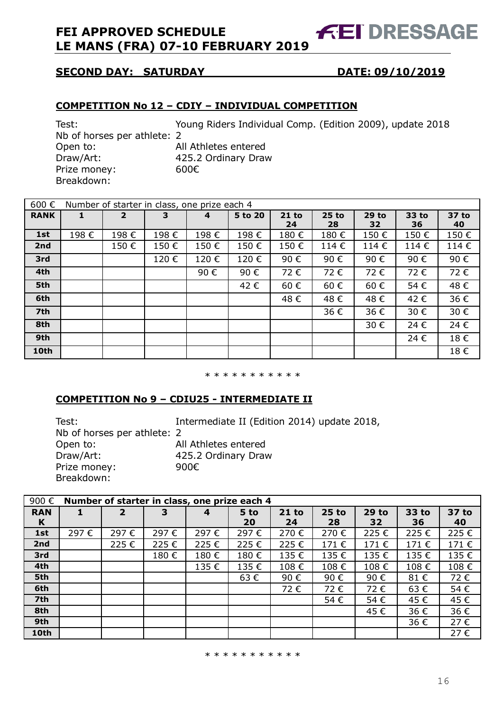# **FEI DRESSAGE**

## **SECOND DAY: SATURDAY DATE: 09/10/2019**

#### **COMPETITION No 12 – CDIY – INDIVIDUAL COMPETITION**

Nb of horses per athlete: 2 Open to: All Athletes entered Draw/Art: 425.2 Ordinary Draw Prize money: 600€ Breakdown:

Test: Young Riders Individual Comp. (Edition 2009), update 2018

| 600€        |      | Number of starter in class, one prize each 4 |      |      |         |         |         |         |       |       |
|-------------|------|----------------------------------------------|------|------|---------|---------|---------|---------|-------|-------|
| <b>RANK</b> |      | $\overline{2}$                               | 3    | 4    | 5 to 20 | $21$ to | $25$ to | $29$ to | 33 to | 37 to |
|             |      |                                              |      |      |         | 24      | 28      | 32      | 36    | 40    |
| 1st         | 198€ | 198€                                         | 198€ | 198€ | 198€    | 180€    | 180€    | 150€    | 150€  | 150€  |
| 2nd         |      | 150€                                         | 150€ | 150€ | 150€    | 150€    | 114€    | 114€    | 114€  | 114€  |
| 3rd         |      |                                              | 120€ | 120€ | 120€    | 90€     | 90€     | 90€     | 90€   | 90€   |
| 4th         |      |                                              |      | 90€  | 90€     | 72€     | 72€     | 72€     | 72€   | 72€   |
| 5th         |      |                                              |      |      | 42€     | 60€     | 60€     | 60€     | 54€   | 48€   |
| 6th         |      |                                              |      |      |         | 48€     | 48€     | 48€     | 42€   | 36€   |
| 7th         |      |                                              |      |      |         |         | 36€     | 36€     | 30€   | 30€   |
| 8th         |      |                                              |      |      |         |         |         | 30€     | 24€   | 24 €  |
| 9th         |      |                                              |      |      |         |         |         |         | 24€   | 18€   |
| 10th        |      |                                              |      |      |         |         |         |         |       | 18€   |

#### \* \* \* \* \* \* \* \* \* \*

#### **COMPETITION No 9 – CDIU25 - INTERMEDIATE II**

Test: Intermediate II (Edition 2014) update 2018, Nb of horses per athlete: 2 Open to: All Athletes entered Draw/Art: 425.2 Ordinary Draw Prize money: 900€ Breakdown:

| 900€       | Number of starter in class, one prize each 4 |                |      |      |      |         |         |         |       |       |  |  |
|------------|----------------------------------------------|----------------|------|------|------|---------|---------|---------|-------|-------|--|--|
| <b>RAN</b> |                                              | $\overline{2}$ | 3    | 4    | 5 to | $21$ to | $25$ to | $29$ to | 33 to | 37 to |  |  |
| K          |                                              |                |      |      | 20   | 24      | 28      | 32      | 36    | 40    |  |  |
| 1st        | 297€                                         | 297€           | 297€ | 297€ | 297€ | 270€    | 270€    | 225€    | 225€  | 225€  |  |  |
| 2nd        |                                              | 225€           | 225€ | 225€ | 225€ | 225€    | 171€    | 171€    | 171€  | 171€  |  |  |
| 3rd        |                                              |                | 180€ | 180€ | 180€ | 135€    | 135€    | 135€    | 135€  | 135€  |  |  |
| 4th        |                                              |                |      | 135€ | 135€ | 108€    | 108€    | 108€    | 108€  | 108€  |  |  |
| 5th        |                                              |                |      |      | 63€  | 90€     | 90€     | 90€     | 81€   | 72€   |  |  |
| 6th        |                                              |                |      |      |      | 72€     | 72€     | 72€     | 63€   | 54€   |  |  |
| 7th        |                                              |                |      |      |      |         | 54€     | 54€     | 45€   | 45€   |  |  |
| 8th        |                                              |                |      |      |      |         |         | 45€     | 36€   | 36€   |  |  |
| 9th        |                                              |                |      |      |      |         |         |         | 36€   | 27€   |  |  |
| 10th       |                                              |                |      |      |      |         |         |         |       | 27€   |  |  |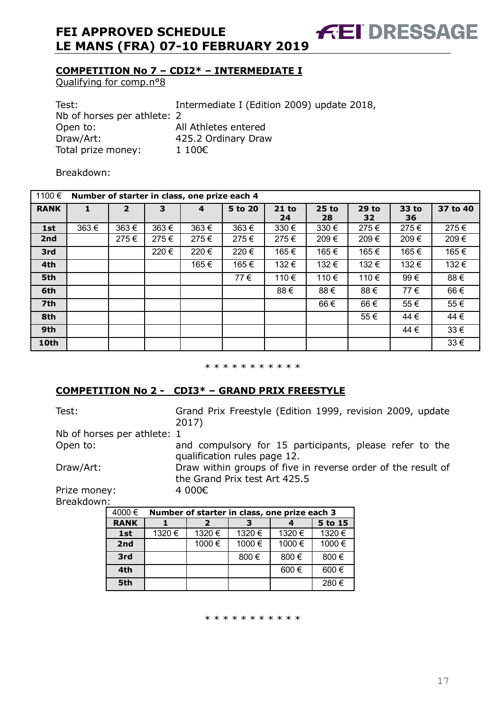**COMPETITION No 7 – CDI2\* – INTERMEDIATE I**

Qualifying for comp.n°8

Test: Intermediate I (Edition 2009) update 2018, Nb of horses per athlete: 2 Open to: All Athletes entered Draw/Art: 425.2 Ordinary Draw Total prize money: 1 100€

Breakdown:

| 1100€       |      | Number of starter in class, one prize each 4 |      |      |         |               |             |               |             |          |  |  |  |
|-------------|------|----------------------------------------------|------|------|---------|---------------|-------------|---------------|-------------|----------|--|--|--|
| <b>RANK</b> |      | $\overline{2}$                               | 3    | 4    | 5 to 20 | $21$ to<br>24 | 25 to<br>28 | $29$ to<br>32 | 33 to<br>36 | 37 to 40 |  |  |  |
| 1st         | 363€ | 363€                                         | 363€ | 363€ | 363€    | 330 €         | $330 \in$   | 275€          | 275€        | 275€     |  |  |  |
| 2nd         |      | 275€                                         | 275€ | 275€ | 275€    | 275€          | 209€        | 209€          | 209€        | 209€     |  |  |  |
| 3rd         |      |                                              | 220€ | 220€ | 220€    | 165€          | 165 €       | 165€          | 165€        | 165€     |  |  |  |
| 4th         |      |                                              |      | 165€ | 165 €   | 132€          | 132€        | 132€          | 132€        | 132€     |  |  |  |
| 5th         |      |                                              |      |      | 77€     | 110€          | 110 €       | 110 €         | 99€         | 88€      |  |  |  |
| 6th         |      |                                              |      |      |         | 88€           | 88€         | 88€           | 77€         | 66€      |  |  |  |
| 7th         |      |                                              |      |      |         |               | 66€         | 66€           | 55€         | 55€      |  |  |  |
| 8th         |      |                                              |      |      |         |               |             | 55€           | 44 €        | 44 €     |  |  |  |
| 9th         |      |                                              |      |      |         |               |             |               | 44 €        | $33 \in$ |  |  |  |
| 10th        |      |                                              |      |      |         |               |             |               |             | $33 \in$ |  |  |  |

\* \* \* \* \* \* \* \* \* \*

#### **COMPETITION No 2 - CDI3\* – GRAND PRIX FREESTYLE**

| Test:                            | Grand Prix Freestyle (Edition 1999, revision 2009, update<br>2017)                            |
|----------------------------------|-----------------------------------------------------------------------------------------------|
| Nb of horses per athlete: 1      |                                                                                               |
| Open to:                         | and compulsory for 15 participants, please refer to the<br>qualification rules page 12.       |
| Draw/Art:                        | Draw within groups of five in reverse order of the result of<br>the Grand Prix test Art 425.5 |
| Prize money:<br>$B$ roal $ddown$ | 4 000€                                                                                        |

Breakdown:

| 4000€       |       | Number of starter in class, one prize each 3 |       |           |         |  |  |  |  |  |  |
|-------------|-------|----------------------------------------------|-------|-----------|---------|--|--|--|--|--|--|
| <b>RANK</b> |       | 2                                            | з     |           | 5 to 15 |  |  |  |  |  |  |
| 1st         | 1320€ | 1320 €                                       | 1320€ | 1320€     | 1320€   |  |  |  |  |  |  |
| 2nd         |       | 1000 €                                       | 1000€ | 1000€     | 1000€   |  |  |  |  |  |  |
| 3rd         |       |                                              | 800€  | 800 €     | 800€    |  |  |  |  |  |  |
| 4th         |       |                                              |       | $600 \in$ | 600€    |  |  |  |  |  |  |
| 5th         |       |                                              |       |           | 280€    |  |  |  |  |  |  |

\* \* \* \* \* \* \* \* \* \*

**FEI DRESSAGE**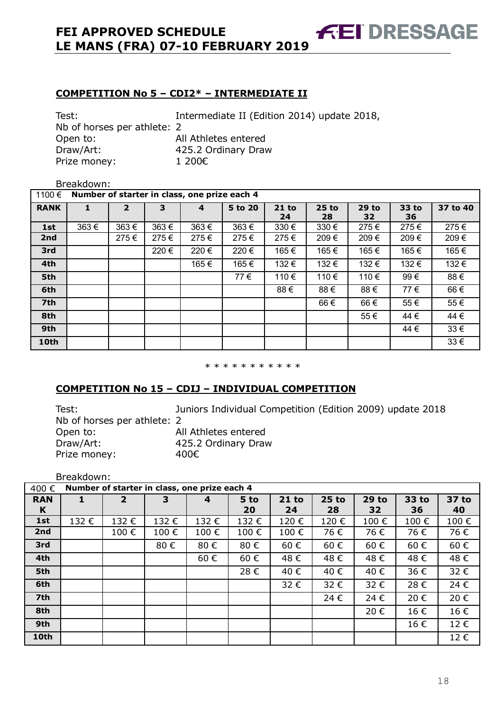#### **COMPETITION No 5 – CDI2\* – INTERMEDIATE II**

Test: Intermediate II (Edition 2014) update 2018, Nb of horses per athlete: 2 Open to: All Athletes entered Draw/Art: 425.2 Ordinary Draw Prize money: 1 200€

#### Breakdown:

| 1100€       | Number of starter in class, one prize each 4 |                |      |      |         |               |               |               |             |          |
|-------------|----------------------------------------------|----------------|------|------|---------|---------------|---------------|---------------|-------------|----------|
| <b>RANK</b> | 1                                            | $\overline{2}$ | 3    | 4    | 5 to 20 | $21$ to<br>24 | $25$ to<br>28 | $29$ to<br>32 | 33 to<br>36 | 37 to 40 |
| 1st         | 363€                                         | 363€           | 363€ | 363€ | 363€    | $330 \in$     | $330 \in$     | 275€          | 275€        | 275€     |
| 2nd         |                                              | 275€           | 275€ | 275€ | 275€    | 275€          | 209€          | 209€          | 209€        | 209€     |
| 3rd         |                                              |                | 220€ | 220€ | 220€    | 165€          | 165€          | 165€          | 165€        | 165€     |
| 4th         |                                              |                |      | 165€ | 165€    | 132€          | 132€          | 132€          | 132€        | 132€     |
| 5th         |                                              |                |      |      | 77€     | 110€          | 110€          | 110€          | 99€         | 88€      |
| 6th         |                                              |                |      |      |         | 88€           | 88€           | 88€           | 77€         | 66€      |
| 7th         |                                              |                |      |      |         |               | 66 €          | 66€           | 55€         | 55€      |
| 8th         |                                              |                |      |      |         |               |               | 55€           | 44€         | 44 €     |
| 9th         |                                              |                |      |      |         |               |               |               | 44 €        | $33 \in$ |
| 10th        |                                              |                |      |      |         |               |               |               |             | $33 \in$ |

#### \* \* \* \* \* \* \* \* \* \* \*

#### **COMPETITION No 15 – CDIJ – INDIVIDUAL COMPETITION**

| Test:                       | Juniors Individual Competition (Edition 2009) update 2018 |
|-----------------------------|-----------------------------------------------------------|
| Nb of horses per athlete: 2 |                                                           |
| Open to:                    | All Athletes entered                                      |
| Draw/Art:                   | 425.2 Ordinary Draw                                       |
| Prize money:                | 400€                                                      |

Breakdown:

| 400€            | Number of starter in class, one prize each 4 |                |      |      |            |               |               |                    |             |             |  |
|-----------------|----------------------------------------------|----------------|------|------|------------|---------------|---------------|--------------------|-------------|-------------|--|
| <b>RAN</b><br>K |                                              | $\overline{2}$ | 3    | 4    | 5 to<br>20 | $21$ to<br>24 | $25$ to<br>28 | <b>29 to</b><br>32 | 33 to<br>36 | 37 to<br>40 |  |
| 1st             | 132€                                         | 132€           | 132€ | 132€ | 132€       | 120€          | 120€          | 100€               | 100€        | 100€        |  |
| 2nd             |                                              | 100€           | 100€ | 100€ | 100€       | 100€          | 76€           | 76€                | 76€         | 76€         |  |
| 3rd             |                                              |                | 80€  | 80€  | 80€        | 60€           | 60€           | 60€                | 60€         | 60€         |  |
| 4th             |                                              |                |      | 60€  | 60€        | 48€           | 48€           | 48€                | 48€         | 48€         |  |
| 5th             |                                              |                |      |      | 28€        | 40€           | 40€           | 40€                | 36€         | 32€         |  |
| 6th             |                                              |                |      |      |            | 32€           | 32€           | 32€                | 28€         | 24€         |  |
| 7th             |                                              |                |      |      |            |               | 24 €          | 24€                | 20€         | 20€         |  |
| 8th             |                                              |                |      |      |            |               |               | 20€                | 16€         | 16€         |  |
| 9th             |                                              |                |      |      |            |               |               |                    | 16€         | 12€         |  |
| 10th            |                                              |                |      |      |            |               |               |                    |             | 12€         |  |

**FEI DRESSAGE**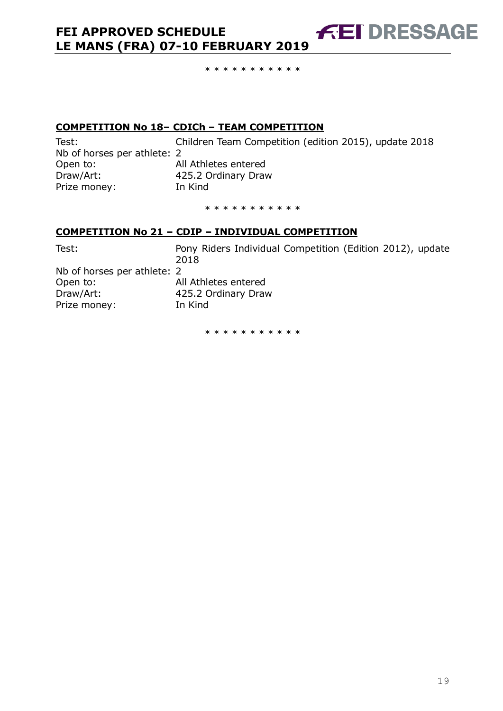**COMPETITION No 18– CDICh – TEAM COMPETITION**

Nb of horses per athlete: 2 Open to: All Athletes entered Draw/Art: 425.2 Ordinary Draw Prize money: In Kind

Test: Children Team Competition (edition 2015), update 2018

**FEI DRESSAGE** 

\* \* \* \* \* \* \* \* \* \*

\* \* \* \* \* \* \* \* \* \*

#### **COMPETITION No 21 – CDIP – INDIVIDUAL COMPETITION**

| Test:                       | Pony Riders Individual Competition (Edition 2012), update<br>2018 |
|-----------------------------|-------------------------------------------------------------------|
| Nb of horses per athlete: 2 |                                                                   |
| Open to:                    | All Athletes entered                                              |
| Draw/Art:                   | 425.2 Ordinary Draw                                               |
| Prize money:                | In Kind                                                           |

\* \* \* \* \* \* \* \* \* \*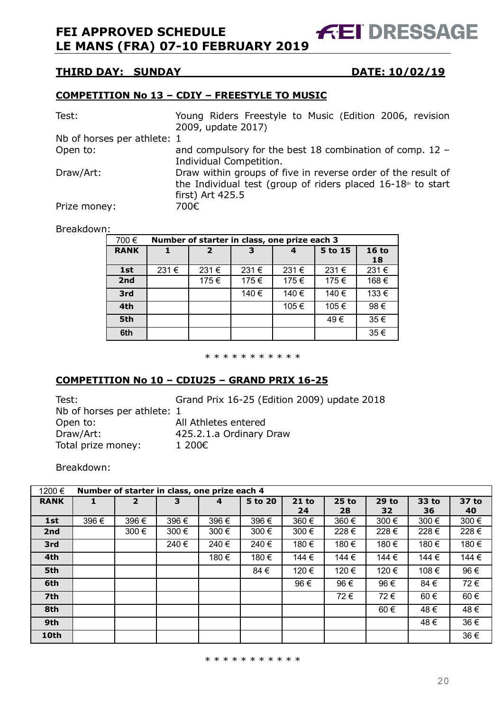**FEI DRESSAGE** 

#### **THIRD DAY: SUNDAY DATE: 10/02/19**

#### **COMPETITION No 13 – CDIY – FREESTYLE TO MUSIC**

| Test:                       | Young Riders Freestyle to Music (Edition 2006, revision<br>2009, update 2017)                                                                      |
|-----------------------------|----------------------------------------------------------------------------------------------------------------------------------------------------|
| Nb of horses per athlete: 1 |                                                                                                                                                    |
| Open to:                    | and compulsory for the best 18 combination of comp. 12 -<br>Individual Competition.                                                                |
| Draw/Art:                   | Draw within groups of five in reverse order of the result of<br>the Individual test (group of riders placed $16-18th$ to start<br>first) Art 425.5 |
| Prize money:                | 700€                                                                                                                                               |

#### Breakdown:

| 700€        | Number of starter in class, one prize each 3 |                |       |       |         |               |  |  |  |
|-------------|----------------------------------------------|----------------|-------|-------|---------|---------------|--|--|--|
| <b>RANK</b> |                                              | $\overline{2}$ |       | 4     | 5 to 15 | $16$ to<br>18 |  |  |  |
| 1st         | 231€                                         | 231€           | 231€  | 231€  | 231€    | 231€          |  |  |  |
| 2nd         |                                              | 175€           | 175€  | 175€  | 175€    | 168€          |  |  |  |
| 3rd         |                                              |                | 140 € | 140 € | 140 €   | 133€          |  |  |  |
| 4th         |                                              |                |       | 105€  | 105€    | 98€           |  |  |  |
| 5th         |                                              |                |       |       | 49€     | 35€           |  |  |  |
| 6th         |                                              |                |       |       |         | 35€           |  |  |  |

#### \* \* \* \* \* \* \* \* \* \* \*

#### **COMPETITION No 10 – CDIU25 – GRAND PRIX 16-25**

| Test:                       | Grand P   |
|-----------------------------|-----------|
| Nb of horses per athlete: 1 |           |
| Open to:                    | All Athle |
| Draw/Art:                   | 425.2.1   |
| Total prize money:          | 1 200€    |

 $Prix$  16-25 (Edition 2009) update 2018 etes entered .a Ordinary Draw

Breakdown:

| 1200€           | Number of starter in class, one prize each 4 |                |       |       |         |         |         |         |       |       |
|-----------------|----------------------------------------------|----------------|-------|-------|---------|---------|---------|---------|-------|-------|
| <b>RANK</b>     |                                              | $\overline{2}$ | 3     | 4     | 5 to 20 | $21$ to | $25$ to | $29$ to | 33 to | 37 to |
|                 |                                              |                |       |       |         | 24      | 28      | 32      | 36    | 40    |
| 1st             | 396 €                                        | 396€           | 396€  | 396€  | 396€    | 360 €   | 360 €   | 300 €   | 300€  | 300 € |
| 2nd             |                                              | 300 €          | 300 € | 300 € | 300 €   | 300 €   | 228€    | 228€    | 228€  | 228€  |
| 3rd             |                                              |                | 240€  | 240€  | 240€    | 180€    | 180€    | 180€    | 180€  | 180€  |
| 4th             |                                              |                |       | 180€  | 180€    | 144 €   | 144 €   | 144 €   | 144 € | 144 € |
| 5th             |                                              |                |       |       | 84€     | 120€    | 120€    | 120€    | 108€  | 96€   |
| 6th             |                                              |                |       |       |         | 96€     | 96€     | 96€     | 84€   | 72€   |
| 7 <sup>th</sup> |                                              |                |       |       |         |         | 72€     | 72€     | 60€   | 60€   |
| 8th             |                                              |                |       |       |         |         |         | 60€     | 48€   | 48€   |
| 9th             |                                              |                |       |       |         |         |         |         | 48€   | 36€   |
| 10th            |                                              |                |       |       |         |         |         |         |       | 36€   |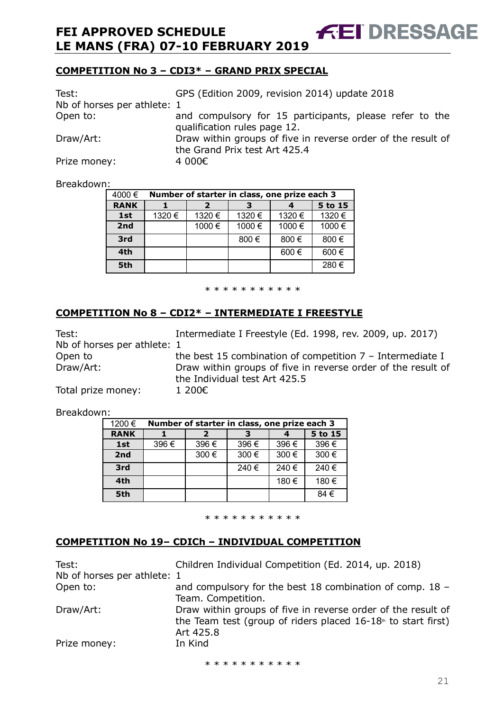## **COMPETITION No 3 – CDI3\* – GRAND PRIX SPECIAL**

| Test:                       | GPS (Edition 2009, revision 2014) update 2018                |
|-----------------------------|--------------------------------------------------------------|
| Nb of horses per athlete: 1 |                                                              |
| Open to:                    | and compulsory for 15 participants, please refer to the      |
|                             | qualification rules page 12.                                 |
| Draw/Art:                   | Draw within groups of five in reverse order of the result of |
|                             | the Grand Prix test Art 425.4                                |
| Prize money:                | 4 000€                                                       |

**FEI DRESSAGE** 

Breakdown:

| . .         |                                              |         |       |       |       |  |  |  |  |
|-------------|----------------------------------------------|---------|-------|-------|-------|--|--|--|--|
| 4000€       | Number of starter in class, one prize each 3 |         |       |       |       |  |  |  |  |
| <b>RANK</b> |                                              | 5 to 15 |       |       |       |  |  |  |  |
| 1st         | 1320€                                        | 1320 €  | 1320€ | 1320€ | 1320€ |  |  |  |  |
| 2nd         |                                              | 1000€   | 1000€ | 1000€ | 1000€ |  |  |  |  |
| 3rd         |                                              |         | 800€  | 800€  | 800€  |  |  |  |  |
| 4th         |                                              |         |       | 600€  | 600€  |  |  |  |  |
| 5th         |                                              |         |       |       | 280€  |  |  |  |  |

\* \* \* \* \* \* \* \* \* \*

#### **COMPETITION No 8 – CDI2\* – INTERMEDIATE I FREESTYLE**

| Test:<br>Nb of horses per athlete: 1 | Intermediate I Freestyle (Ed. 1998, rev. 2009, up. 2017)                                      |
|--------------------------------------|-----------------------------------------------------------------------------------------------|
|                                      |                                                                                               |
| Open to                              | the best 15 combination of competition $7$ – Intermediate I                                   |
| Draw/Art:                            | Draw within groups of five in reverse order of the result of<br>the Individual test Art 425.5 |
| Total prize money:                   | 1 200€                                                                                        |

Breakdown:

| 1200€       | Number of starter in class, one prize each 3 |      |      |      |         |  |  |  |  |
|-------------|----------------------------------------------|------|------|------|---------|--|--|--|--|
| <b>RANK</b> |                                              |      |      |      | 5 to 15 |  |  |  |  |
| 1st         | 396€                                         | 396€ | 396€ | 396€ | 396€    |  |  |  |  |
| 2nd         |                                              | 300€ | 300€ | 300€ | 300€    |  |  |  |  |
| 3rd         |                                              |      | 240€ | 240€ | 240€    |  |  |  |  |
| 4th         |                                              |      |      | 180€ | 180€    |  |  |  |  |
| 5th         |                                              |      |      |      | 84€     |  |  |  |  |

\* \* \* \* \* \* \* \* \* \* \*

#### **COMPETITION No 19– CDICh – INDIVIDUAL COMPETITION**

| Test:<br>Nb of horses per athlete: 1 | Children Individual Competition (Ed. 2014, up. 2018)                                                                                                     |
|--------------------------------------|----------------------------------------------------------------------------------------------------------------------------------------------------------|
| Open to:                             | and compulsory for the best 18 combination of comp. 18 -<br>Team. Competition.                                                                           |
| Draw/Art:                            | Draw within groups of five in reverse order of the result of<br>the Team test (group of riders placed $16-18$ <sup>th</sup> to start first)<br>Art 425.8 |
| Prize money:                         | In Kind                                                                                                                                                  |

\* \* \* \* \* \* \* \* \* \*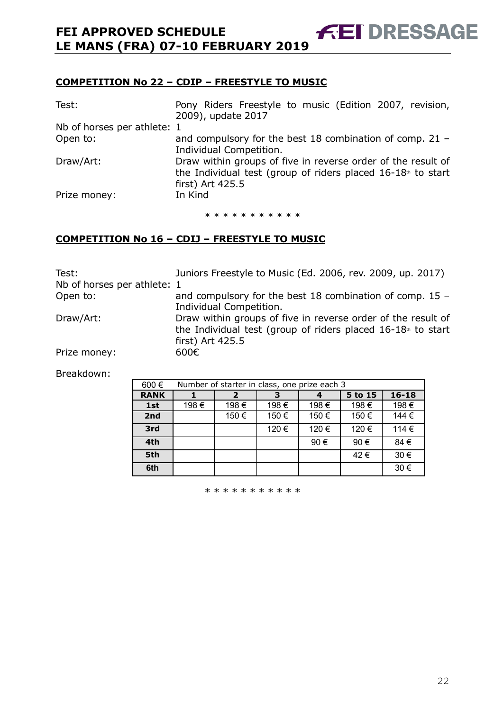#### **COMPETITION No 22 – CDIP – FREESTYLE TO MUSIC**

| Test:                       | Pony Riders Freestyle to music (Edition 2007, revision,<br>2009), update 2017                                                  |
|-----------------------------|--------------------------------------------------------------------------------------------------------------------------------|
| Nb of horses per athlete: 1 |                                                                                                                                |
| Open to:                    | and compulsory for the best 18 combination of comp. 21 -                                                                       |
|                             | Individual Competition.                                                                                                        |
| Draw/Art:                   | Draw within groups of five in reverse order of the result of<br>the Individual test (group of riders placed $16-18th$ to start |
|                             | first) Art 425.5                                                                                                               |
| Prize money:                | In Kind                                                                                                                        |
|                             |                                                                                                                                |

**AET DRESSAGE** 

\* \* \* \* \* \* \* \* \* \* \*

## **COMPETITION No 16 – CDIJ – FREESTYLE TO MUSIC**

| Test:                       | Juniors Freestyle to Music (Ed. 2006, rev. 2009, up. 2017)                                                                                         |
|-----------------------------|----------------------------------------------------------------------------------------------------------------------------------------------------|
| Nb of horses per athlete: 1 |                                                                                                                                                    |
| Open to:                    | and compulsory for the best 18 combination of comp. $15 -$<br>Individual Competition.                                                              |
| Draw/Art:                   | Draw within groups of five in reverse order of the result of<br>the Individual test (group of riders placed $16-18th$ to start<br>first) Art 425.5 |
| Prize money:                | 600 $\epsilon$                                                                                                                                     |

Breakdown:

| 600€        | Number of starter in class, one prize each 3 |      |      |      |         |           |
|-------------|----------------------------------------------|------|------|------|---------|-----------|
| <b>RANK</b> |                                              | 2    | з    | 4    | 5 to 15 | $16 - 18$ |
| 1st         | 198€                                         | 198€ | 198€ | 198€ | 198€    | 198€      |
| 2nd         |                                              | 150€ | 150€ | 150€ | 150€    | 144 €     |
| 3rd         |                                              |      | 120€ | 120€ | 120€    | 114€      |
| 4th         |                                              |      |      | 90 € | 90€     | 84€       |
| 5th         |                                              |      |      |      | 42€     | 30€       |
| 6th         |                                              |      |      |      |         | 30€       |

\* \* \* \* \* \* \* \* \* \* \*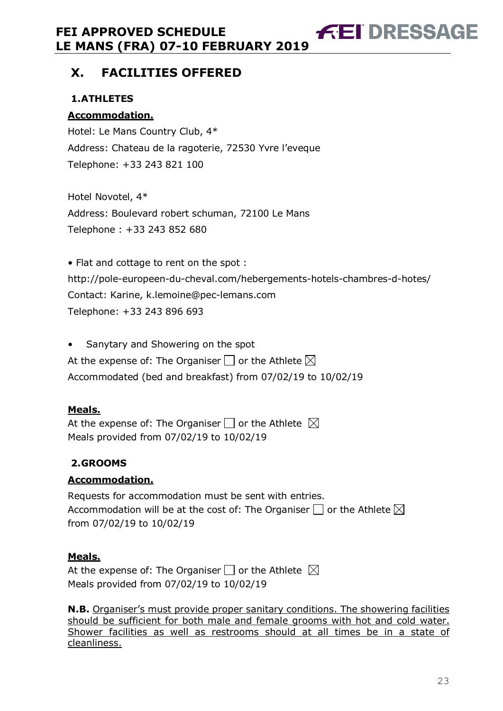# **X. FACILITIES OFFERED**

## **1.ATHLETES**

## **Accommodation.**

Hotel: Le Mans Country Club, 4\* Address: Chateau de la ragoterie, 72530 Yvre l'eveque Telephone: +33 243 821 100

Hotel Novotel, 4\* Address: Boulevard robert schuman, 72100 Le Mans Telephone : +33 243 852 680

• Flat and cottage to rent on the spot : http://pole-europeen-du-cheval.com/hebergements-hotels-chambres-d-hotes/ Contact: Karine, k.lemoine@pec-lemans.com Telephone: +33 243 896 693

• Sanytary and Showering on the spot At the expense of: The Organiser  $\Box$  or the Athlete  $\boxtimes$ Accommodated (bed and breakfast) from 07/02/19 to 10/02/19

## **Meals.**

At the expense of: The Organiser  $\Box$  or the Athlete  $\boxtimes$ Meals provided from 07/02/19 to 10/02/19

## **2.GROOMS**

## **Accommodation.**

Requests for accommodation must be sent with entries. Accommodation will be at the cost of: The Organiser  $\Box$  or the Athlete  $\boxtimes$ from 07/02/19 to 10/02/19

## **Meals.**

At the expense of: The Organiser  $\Box$  or the Athlete  $\boxtimes$ Meals provided from 07/02/19 to 10/02/19

**N.B.** Organiser's must provide proper sanitary conditions. The showering facilities should be sufficient for both male and female grooms with hot and cold water. Shower facilities as well as restrooms should at all times be in a state of cleanliness.

**FEI DRESSAGE**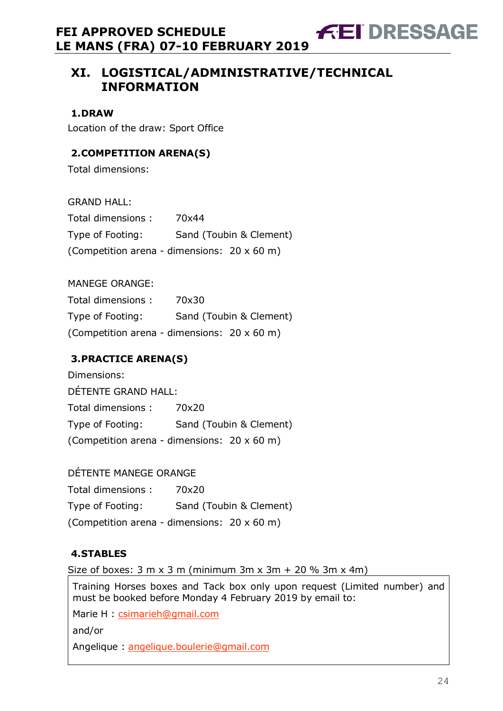# **XI. LOGISTICAL/ADMINISTRATIVE/TECHNICAL INFORMATION**

**FEI DRESSAGE** 

**1.DRAW** 

Location of the draw: Sport Office

## **2.COMPETITION ARENA(S)**

Total dimensions:

GRAND HALL:

| Total dimensions: | 70x44                                       |
|-------------------|---------------------------------------------|
| Type of Footing:  | Sand (Toubin & Clement)                     |
|                   | (Competition arena - dimensions: 20 x 60 m) |

MANEGE ORANGE:

| Total dimensions: | 70x30                                       |
|-------------------|---------------------------------------------|
| Type of Footing:  | Sand (Toubin & Clement)                     |
|                   | (Competition arena - dimensions: 20 x 60 m) |

## **3.PRACTICE ARENA(S)**

Dimensions: DÉTENTE GRAND HALL: Total dimensions : 70x20 Type of Footing: Sand (Toubin & Clement) (Competition arena - dimensions: 20 x 60 m)

DÉTENTE MANEGE ORANGE Total dimensions : 70x20 Type of Footing: Sand (Toubin & Clement) (Competition arena - dimensions: 20 x 60 m)

## **4.STABLES**

Size of boxes:  $3 \text{ m} \times 3 \text{ m}$  (minimum  $3 \text{ m} \times 3 \text{ m} + 20 \%$  3m  $\times$  4m)

Training Horses boxes and Tack box only upon request (Limited number) and must be booked before Monday 4 February 2019 by email to:

Marie H : csimarieh@gmail.com

and/or

Angelique : angelique.boulerie@gmail.com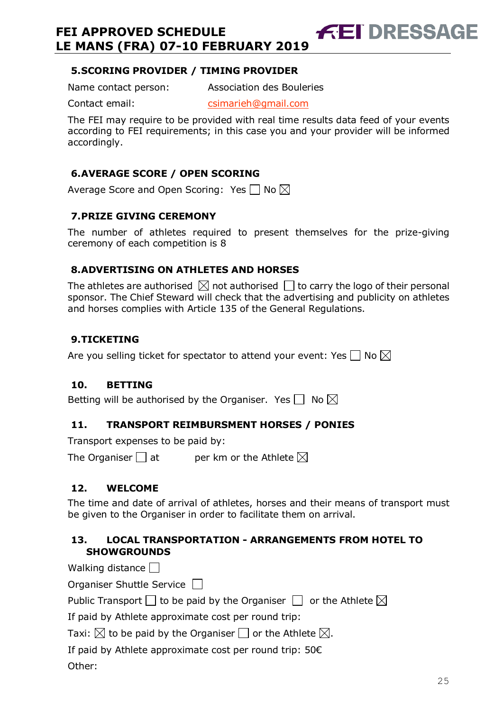## **5.SCORING PROVIDER / TIMING PROVIDER**

Name contact person: Association des Bouleries

Contact email: csimarieh@gmail.com

The FEI may require to be provided with real time results data feed of your events according to FEI requirements; in this case you and your provider will be informed accordingly.

**FEI DRESSAGE** 

## **6.AVERAGE SCORE / OPEN SCORING**

Average Score and Open Scoring: Yes  $\Box$  No  $\boxtimes$ 

## **7.PRIZE GIVING CEREMONY**

The number of athletes required to present themselves for the prize-giving ceremony of each competition is 8

## **8.ADVERTISING ON ATHLETES AND HORSES**

The athletes are authorised  $\boxtimes$  not authorised  $\Box$  to carry the logo of their personal sponsor. The Chief Steward will check that the advertising and publicity on athletes and horses complies with Article 135 of the General Regulations.

## **9.TICKETING**

Are you selling ticket for spectator to attend your event: Yes  $\Box$  No  $\boxtimes$ 

## **10. BETTING**

Betting will be authorised by the Organiser. Yes  $\Box$  No  $\boxtimes$ 

## **11. TRANSPORT REIMBURSMENT HORSES / PONIES**

Transport expenses to be paid by:

The Organiser  $\Box$  at entries ber km or the Athlete  $\boxtimes$ 

## **12. WELCOME**

The time and date of arrival of athletes, horses and their means of transport must be given to the Organiser in order to facilitate them on arrival.

## **13. LOCAL TRANSPORTATION - ARRANGEMENTS FROM HOTEL TO SHOWGROUNDS**

Walking distance  $\Box$ 

Organiser Shuttle Service

Public Transport  $\Box$  to be paid by the Organiser  $\Box$  or the Athlete  $\boxtimes$ 

If paid by Athlete approximate cost per round trip:

Taxi:  $\boxtimes$  to be paid by the Organiser  $\Box$  or the Athlete  $\boxtimes$ .

If paid by Athlete approximate cost per round trip: 50€

Other: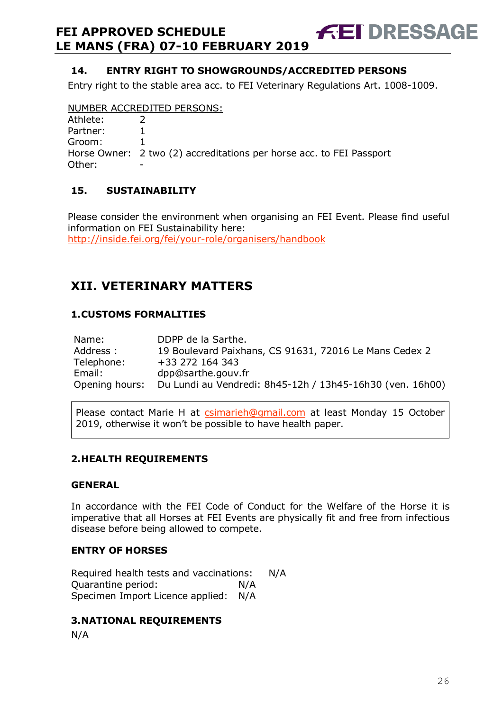## **14. ENTRY RIGHT TO SHOWGROUNDS/ACCREDITED PERSONS**

Entry right to the stable area acc. to FEI Veterinary Regulations Art. 1008-1009.

**FEI DRESSAGE** 

#### NUMBER ACCREDITED PERSONS:

| Athlete: |                                                                      |
|----------|----------------------------------------------------------------------|
| Partner: |                                                                      |
| Groom:   |                                                                      |
|          | Horse Owner: 2 two (2) accreditations per horse acc. to FEI Passport |
| Other:   |                                                                      |

## **15. SUSTAINABILITY**

Please consider the environment when organising an FEI Event. Please find useful information on FEI Sustainability here: http://inside.fei.org/fei/your-role/organisers/handbook

# **XII. VETERINARY MATTERS**

#### **1.CUSTOMS FORMALITIES**

| Name:          | DDPP de la Sarthe.                                        |
|----------------|-----------------------------------------------------------|
| Address:       | 19 Boulevard Paixhans, CS 91631, 72016 Le Mans Cedex 2    |
| Telephone:     | +33 272 164 343                                           |
| Email:         | dpp@sarthe.gouv.fr                                        |
| Opening hours: | Du Lundi au Vendredi: 8h45-12h / 13h45-16h30 (ven. 16h00) |

Please contact Marie H at csimarieh@gmail.com at least Monday 15 October 2019, otherwise it won't be possible to have health paper.

#### **2.HEALTH REQUIREMENTS**

#### **GENERAL**

In accordance with the FEI Code of Conduct for the Welfare of the Horse it is imperative that all Horses at FEI Events are physically fit and free from infectious disease before being allowed to compete.

#### **ENTRY OF HORSES**

Required health tests and vaccinations: N/A Quarantine period: N/A Specimen Import Licence applied: N/A

#### **3.NATIONAL REQUIREMENTS**

N/A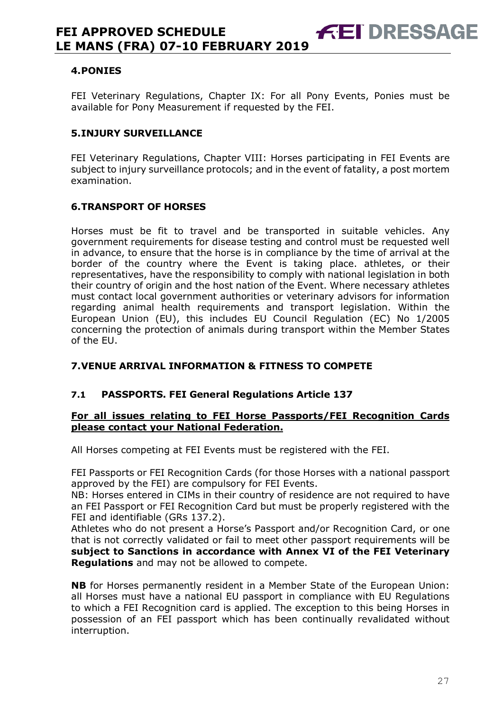#### **4.PONIES**

FEI Veterinary Regulations, Chapter IX: For all Pony Events, Ponies must be available for Pony Measurement if requested by the FEI.

**FEI DRESSAGE** 

#### **5.INJURY SURVEILLANCE**

FEI Veterinary Regulations, Chapter VIII: Horses participating in FEI Events are subject to injury surveillance protocols; and in the event of fatality, a post mortem examination.

#### **6.TRANSPORT OF HORSES**

Horses must be fit to travel and be transported in suitable vehicles. Any government requirements for disease testing and control must be requested well in advance, to ensure that the horse is in compliance by the time of arrival at the border of the country where the Event is taking place. athletes, or their representatives, have the responsibility to comply with national legislation in both their country of origin and the host nation of the Event. Where necessary athletes must contact local government authorities or veterinary advisors for information regarding animal health requirements and transport legislation. Within the European Union (EU), this includes EU Council Regulation (EC) No 1/2005 concerning the protection of animals during transport within the Member States of the EU.

## **7.VENUE ARRIVAL INFORMATION & FITNESS TO COMPETE**

#### **7.1 PASSPORTS. FEI General Regulations Article 137**

#### **For all issues relating to FEI Horse Passports/FEI Recognition Cards please contact your National Federation.**

All Horses competing at FEI Events must be registered with the FEI.

FEI Passports or FEI Recognition Cards (for those Horses with a national passport approved by the FEI) are compulsory for FEI Events.

NB: Horses entered in CIMs in their country of residence are not required to have an FEI Passport or FEI Recognition Card but must be properly registered with the FEI and identifiable (GRs 137.2).

Athletes who do not present a Horse's Passport and/or Recognition Card, or one that is not correctly validated or fail to meet other passport requirements will be **subject to Sanctions in accordance with Annex VI of the FEI Veterinary Regulations** and may not be allowed to compete.

**NB** for Horses permanently resident in a Member State of the European Union: all Horses must have a national EU passport in compliance with EU Regulations to which a FEI Recognition card is applied. The exception to this being Horses in possession of an FEI passport which has been continually revalidated without interruption.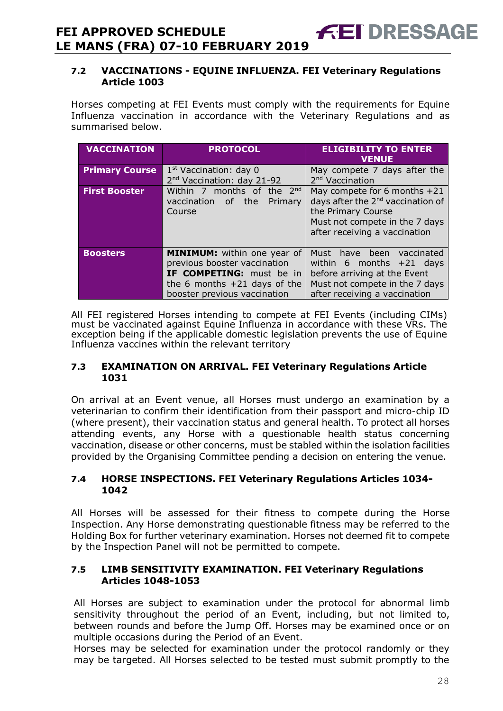#### **7.2 VACCINATIONS - EQUINE INFLUENZA. FEI Veterinary Regulations Article 1003**

**FEI DRESSAGE** 

Horses competing at FEI Events must comply with the requirements for Equine Influenza vaccination in accordance with the Veterinary Regulations and as summarised below.

| <b>VACCINATION</b>    | <b>PROTOCOL</b>                                                    | <b>ELIGIBILITY TO ENTER</b><br><b>VENUE</b>                 |  |  |
|-----------------------|--------------------------------------------------------------------|-------------------------------------------------------------|--|--|
| <b>Primary Course</b> | $1st$ Vaccination: day 0<br>2 <sup>nd</sup> Vaccination: day 21-92 | May compete 7 days after the<br>2 <sup>nd</sup> Vaccination |  |  |
|                       |                                                                    |                                                             |  |  |
| <b>First Booster</b>  | Within 7 months of the 2nd                                         | May compete for 6 months +21                                |  |  |
|                       | vaccination of the<br>Primary                                      | days after the 2 <sup>nd</sup> vaccination of               |  |  |
|                       | Course                                                             | the Primary Course                                          |  |  |
|                       |                                                                    | Must not compete in the 7 days                              |  |  |
|                       |                                                                    | after receiving a vaccination                               |  |  |
|                       |                                                                    |                                                             |  |  |
|                       |                                                                    |                                                             |  |  |
| <b>Boosters</b>       | <b>MINIMUM:</b> within one year of                                 | Must have been vaccinated                                   |  |  |
|                       | previous booster vaccination                                       | within 6 months $+21$ days                                  |  |  |
|                       | IF COMPETING: must be in                                           | before arriving at the Event                                |  |  |
|                       |                                                                    |                                                             |  |  |
|                       | the 6 months $+21$ days of the                                     | Must not compete in the 7 days                              |  |  |
|                       | booster previous vaccination                                       | after receiving a vaccination                               |  |  |

All FEI registered Horses intending to compete at FEI Events (including CIMs) must be vaccinated against Equine Influenza in accordance with these VRs. The exception being if the applicable domestic legislation prevents the use of Equine Influenza vaccines within the relevant territory

#### **7.3 EXAMINATION ON ARRIVAL. FEI Veterinary Regulations Article 1031**

On arrival at an Event venue, all Horses must undergo an examination by a veterinarian to confirm their identification from their passport and micro-chip ID (where present), their vaccination status and general health. To protect all horses attending events, any Horse with a questionable health status concerning vaccination, disease or other concerns, must be stabled within the isolation facilities provided by the Organising Committee pending a decision on entering the venue.

#### **7.4 HORSE INSPECTIONS. FEI Veterinary Regulations Articles 1034- 1042**

All Horses will be assessed for their fitness to compete during the Horse Inspection. Any Horse demonstrating questionable fitness may be referred to the Holding Box for further veterinary examination. Horses not deemed fit to compete by the Inspection Panel will not be permitted to compete.

#### **7.5 LIMB SENSITIVITY EXAMINATION. FEI Veterinary Regulations Articles 1048-1053**

All Horses are subject to examination under the protocol for abnormal limb sensitivity throughout the period of an Event, including, but not limited to, between rounds and before the Jump Off. Horses may be examined once or on multiple occasions during the Period of an Event.

Horses may be selected for examination under the protocol randomly or they may be targeted. All Horses selected to be tested must submit promptly to the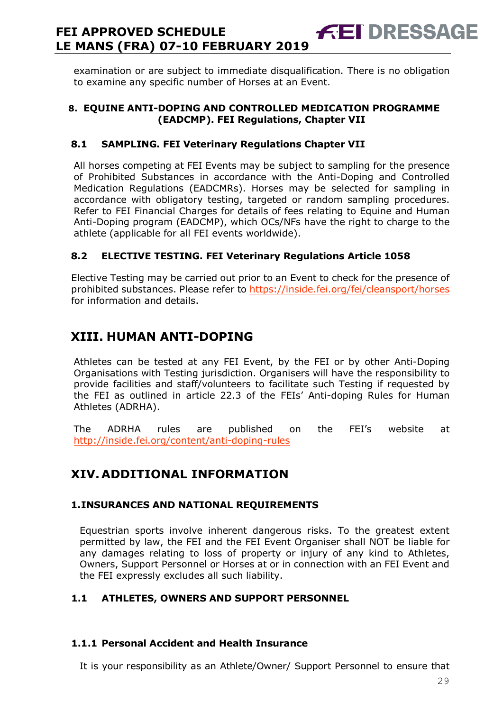examination or are subject to immediate disqualification. There is no obligation to examine any specific number of Horses at an Event.

**FEI DRESSAGE** 

#### **8. EQUINE ANTI-DOPING AND CONTROLLED MEDICATION PROGRAMME (EADCMP). FEI Regulations, Chapter VII**

## **8.1 SAMPLING. FEI Veterinary Regulations Chapter VII**

All horses competing at FEI Events may be subject to sampling for the presence of Prohibited Substances in accordance with the Anti-Doping and Controlled Medication Regulations (EADCMRs). Horses may be selected for sampling in accordance with obligatory testing, targeted or random sampling procedures. Refer to FEI Financial Charges for details of fees relating to Equine and Human Anti-Doping program (EADCMP), which OCs/NFs have the right to charge to the athlete (applicable for all FEI events worldwide).

## **8.2 ELECTIVE TESTING. FEI Veterinary Regulations Article 1058**

Elective Testing may be carried out prior to an Event to check for the presence of prohibited substances. Please refer to https://inside.fei.org/fei/cleansport/horses for information and details.

# **XIII. HUMAN ANTI-DOPING**

Athletes can be tested at any FEI Event, by the FEI or by other Anti-Doping Organisations with Testing jurisdiction. Organisers will have the responsibility to provide facilities and staff/volunteers to facilitate such Testing if requested by the FEI as outlined in article 22.3 of the FEIs' Anti-doping Rules for Human Athletes (ADRHA).

The ADRHA rules are published on the FEI's website at http://inside.fei.org/content/anti-doping-rules

# **XIV. ADDITIONAL INFORMATION**

## **1.INSURANCES AND NATIONAL REQUIREMENTS**

Equestrian sports involve inherent dangerous risks. To the greatest extent permitted by law, the FEI and the FEI Event Organiser shall NOT be liable for any damages relating to loss of property or injury of any kind to Athletes, Owners, Support Personnel or Horses at or in connection with an FEI Event and the FEI expressly excludes all such liability.

## **1.1 ATHLETES, OWNERS AND SUPPORT PERSONNEL**

## **1.1.1 Personal Accident and Health Insurance**

It is your responsibility as an Athlete/Owner/ Support Personnel to ensure that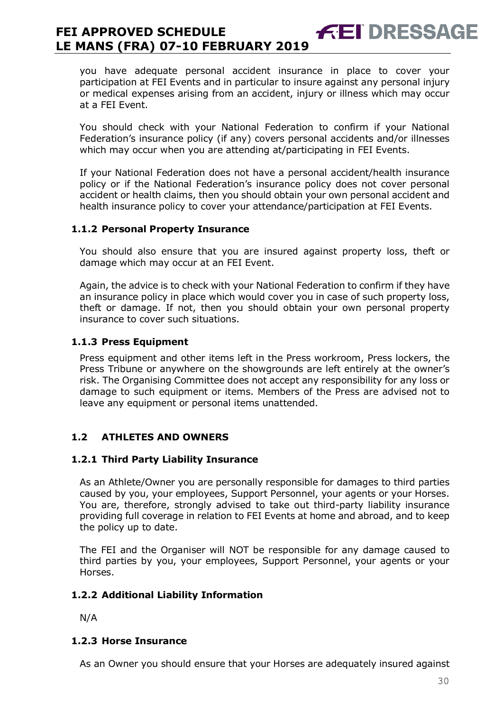you have adequate personal accident insurance in place to cover your participation at FEI Events and in particular to insure against any personal injury or medical expenses arising from an accident, injury or illness which may occur at a FEI Event.

**FEI DRESSAGE** 

You should check with your National Federation to confirm if your National Federation's insurance policy (if any) covers personal accidents and/or illnesses which may occur when you are attending at/participating in FEI Events.

If your National Federation does not have a personal accident/health insurance policy or if the National Federation's insurance policy does not cover personal accident or health claims, then you should obtain your own personal accident and health insurance policy to cover your attendance/participation at FEI Events.

#### **1.1.2 Personal Property Insurance**

You should also ensure that you are insured against property loss, theft or damage which may occur at an FEI Event.

Again, the advice is to check with your National Federation to confirm if they have an insurance policy in place which would cover you in case of such property loss, theft or damage. If not, then you should obtain your own personal property insurance to cover such situations.

#### **1.1.3 Press Equipment**

Press equipment and other items left in the Press workroom, Press lockers, the Press Tribune or anywhere on the showgrounds are left entirely at the owner's risk. The Organising Committee does not accept any responsibility for any loss or damage to such equipment or items. Members of the Press are advised not to leave any equipment or personal items unattended.

## **1.2 ATHLETES AND OWNERS**

#### **1.2.1 Third Party Liability Insurance**

As an Athlete/Owner you are personally responsible for damages to third parties caused by you, your employees, Support Personnel, your agents or your Horses. You are, therefore, strongly advised to take out third-party liability insurance providing full coverage in relation to FEI Events at home and abroad, and to keep the policy up to date.

The FEI and the Organiser will NOT be responsible for any damage caused to third parties by you, your employees, Support Personnel, your agents or your Horses.

#### **1.2.2 Additional Liability Information**

N/A

#### **1.2.3 Horse Insurance**

As an Owner you should ensure that your Horses are adequately insured against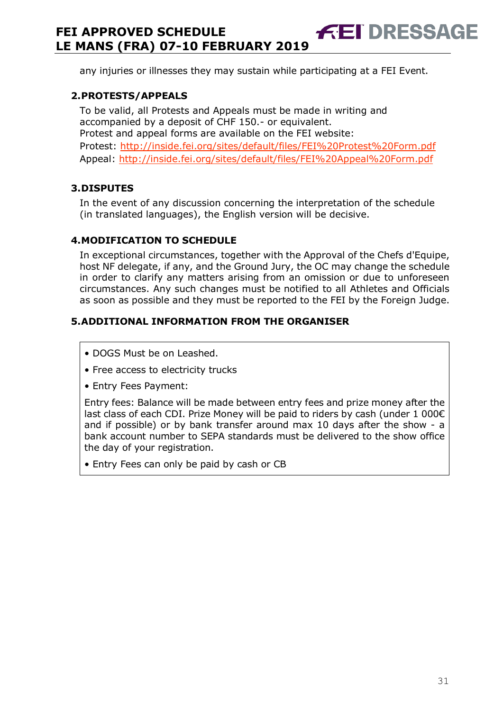any injuries or illnesses they may sustain while participating at a FEI Event.

**ÆET DRESSAGE** 

#### **2.PROTESTS/APPEALS**

To be valid, all Protests and Appeals must be made in writing and accompanied by a deposit of CHF 150.- or equivalent. Protest and appeal forms are available on the FEI website: Protest: http://inside.fei.org/sites/default/files/FEI%20Protest%20Form.pdf Appeal: http://inside.fei.org/sites/default/files/FEI%20Appeal%20Form.pdf

#### **3.DISPUTES**

In the event of any discussion concerning the interpretation of the schedule (in translated languages), the English version will be decisive.

#### **4.MODIFICATION TO SCHEDULE**

In exceptional circumstances, together with the Approval of the Chefs d'Equipe, host NF delegate, if any, and the Ground Jury, the OC may change the schedule in order to clarify any matters arising from an omission or due to unforeseen circumstances. Any such changes must be notified to all Athletes and Officials as soon as possible and they must be reported to the FEI by the Foreign Judge.

#### **5.ADDITIONAL INFORMATION FROM THE ORGANISER**

- DOGS Must be on Leashed.
- Free access to electricity trucks
- Entry Fees Payment:

Entry fees: Balance will be made between entry fees and prize money after the last class of each CDI. Prize Money will be paid to riders by cash (under 1 000€ and if possible) or by bank transfer around max 10 days after the show - a bank account number to SEPA standards must be delivered to the show office the day of your registration.

• Entry Fees can only be paid by cash or CB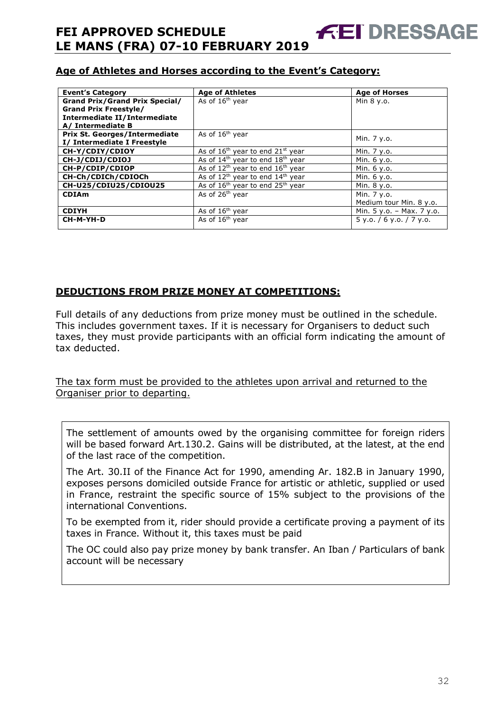## **Age of Athletes and Horses according to the Event's Category:**

| <b>Event's Category</b>               | <b>Age of Athletes</b>                                   | <b>Age of Horses</b>        |
|---------------------------------------|----------------------------------------------------------|-----------------------------|
| <b>Grand Prix/Grand Prix Special/</b> | As of 16 <sup>th</sup> vear                              | Min 8 y.o.                  |
| <b>Grand Prix Freestyle/</b>          |                                                          |                             |
| Intermediate II/Intermediate          |                                                          |                             |
| A/ Intermediate B                     |                                                          |                             |
| <b>Prix St. Georges/Intermediate</b>  | As of 16 <sup>th</sup> year                              | Min. 7 y.o.                 |
| I/ Intermediate I Freestyle           |                                                          |                             |
| CH-Y/CDIY/CDIOY                       | As of $16th$ year to end $21st$ year                     | Min. 7 y.o.                 |
| CH-J/CDIJ/CDIOJ                       | As of $14th$ year to end $18th$ year                     | Min. 6 y.o.                 |
| CH-P/CDIP/CDIOP                       | As of $12^{th}$ year to end $16^{th}$ year               | Min. 6 y.o.                 |
| CH-Ch/CDICh/CDIOCh                    | As of $12th$ year to end $14th$ year                     | Min. 6 y.o.                 |
| CH-U25/CDIU25/CDIOU25                 | As of 16 <sup>th</sup> year to end 25 <sup>th</sup> year | Min. 8 y.o.                 |
| <b>CDIAm</b>                          | As of 26 <sup>th</sup> vear                              | Min. 7 y.o.                 |
|                                       |                                                          | Medium tour Min. 8 y.o.     |
| <b>CDIYH</b>                          | As of $16th$ year                                        | Min. $5 y.o. - Max. 7 y.o.$ |
| CH-M-YH-D                             | As of 16 <sup>th</sup> year                              | 5 y.o. / 6 y.o. / 7 y.o.    |

## **DEDUCTIONS FROM PRIZE MONEY AT COMPETITIONS:**

Full details of any deductions from prize money must be outlined in the schedule. This includes government taxes. If it is necessary for Organisers to deduct such taxes, they must provide participants with an official form indicating the amount of tax deducted.

The tax form must be provided to the athletes upon arrival and returned to the Organiser prior to departing.

The settlement of amounts owed by the organising committee for foreign riders will be based forward Art.130.2. Gains will be distributed, at the latest, at the end of the last race of the competition.

The Art. 30.II of the Finance Act for 1990, amending Ar. 182.B in January 1990, exposes persons domiciled outside France for artistic or athletic, supplied or used in France, restraint the specific source of 15% subject to the provisions of the international Conventions.

To be exempted from it, rider should provide a certificate proving a payment of its taxes in France. Without it, this taxes must be paid

The OC could also pay prize money by bank transfer. An Iban / Particulars of bank account will be necessary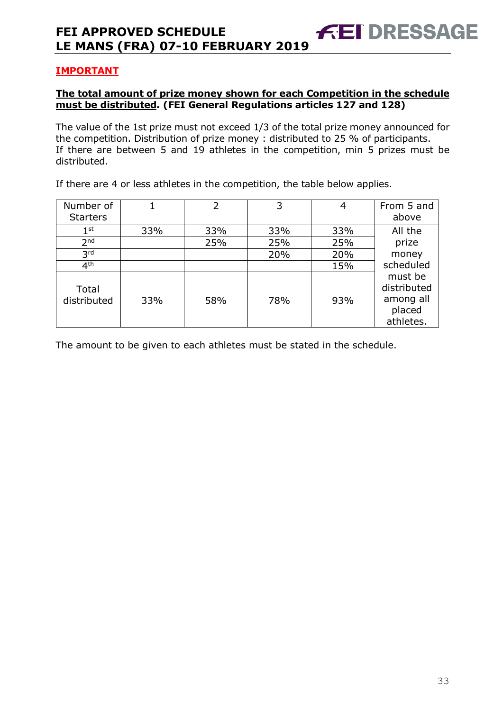## **IMPORTANT**

#### **The total amount of prize money shown for each Competition in the schedule must be distributed. (FEI General Regulations articles 127 and 128)**

The value of the 1st prize must not exceed 1/3 of the total prize money announced for the competition. Distribution of prize money : distributed to 25 % of participants. If there are between 5 and 19 athletes in the competition, min 5 prizes must be distributed.

If there are 4 or less athletes in the competition, the table below applies.

| Number of<br><b>Starters</b> |     | $\overline{2}$ | 3   |     | From 5 and<br>above                                        |
|------------------------------|-----|----------------|-----|-----|------------------------------------------------------------|
| 1 <sup>st</sup>              | 33% | 33%            | 33% | 33% | All the                                                    |
| 2 <sub>nd</sub>              |     | 25%            | 25% | 25% | prize                                                      |
| 3 <sup>rd</sup>              |     |                | 20% | 20% | money                                                      |
| 4 <sup>th</sup>              |     |                |     | 15% | scheduled                                                  |
| Total<br>distributed         | 33% | 58%            | 78% | 93% | must be<br>distributed<br>among all<br>placed<br>athletes. |

The amount to be given to each athletes must be stated in the schedule.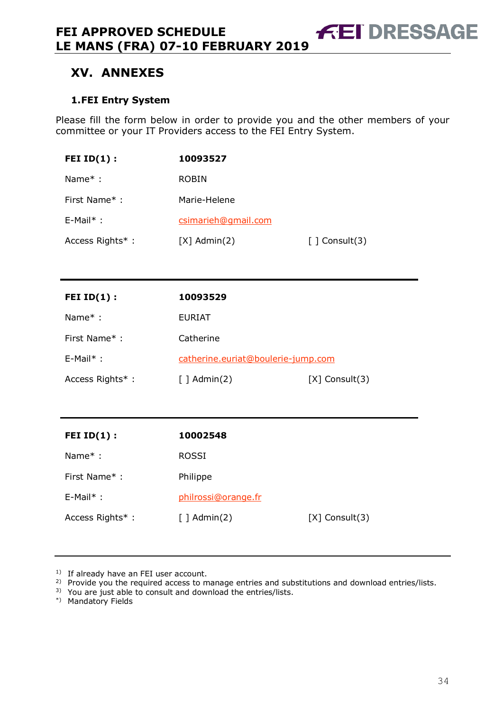# **XV. ANNEXES**

#### **1.FEI Entry System**

Please fill the form below in order to provide you and the other members of your committee or your IT Providers access to the FEI Entry System.

**FEI DRESSAGE** 

| FEI $ID(1)$ :   | 10093527            |                              |
|-----------------|---------------------|------------------------------|
| Name $*$ :      | <b>ROBIN</b>        |                              |
| First Name*:    | Marie-Helene        |                              |
| $E-Mail^*$ :    | csimarieh@gmail.com |                              |
| Access Rights*: | $[X]$ Admin $(2)$   | $\lceil$ $\lceil$ Consult(3) |

| FEI $ID(1)$ :   | 10093529                           |                     |
|-----------------|------------------------------------|---------------------|
| Name $*$ :      | <b>EURIAT</b>                      |                     |
| First Name*:    | Catherine                          |                     |
| $E-Mail^*$ :    | catherine.euriat@boulerie-jump.com |                     |
| Access Rights*: | $\lceil$ ] Admin(2)                | $[X]$ Consult $(3)$ |

| FEI $ID(1)$ :   | 10002548            |                     |
|-----------------|---------------------|---------------------|
| Name $*$ :      | <b>ROSSI</b>        |                     |
| First Name*:    | Philippe            |                     |
| $E-Mail^*$ :    | philrossi@orange.fr |                     |
| Access Rights*: | $[ ]$ Admin(2)      | $[X]$ Consult $(3)$ |

<sup>1)</sup> If already have an FEI user account.

<sup>2)</sup> Provide you the required access to manage entries and substitutions and download entries/lists.

3) You are just able to consult and download the entries/lists.

\*) Mandatory Fields